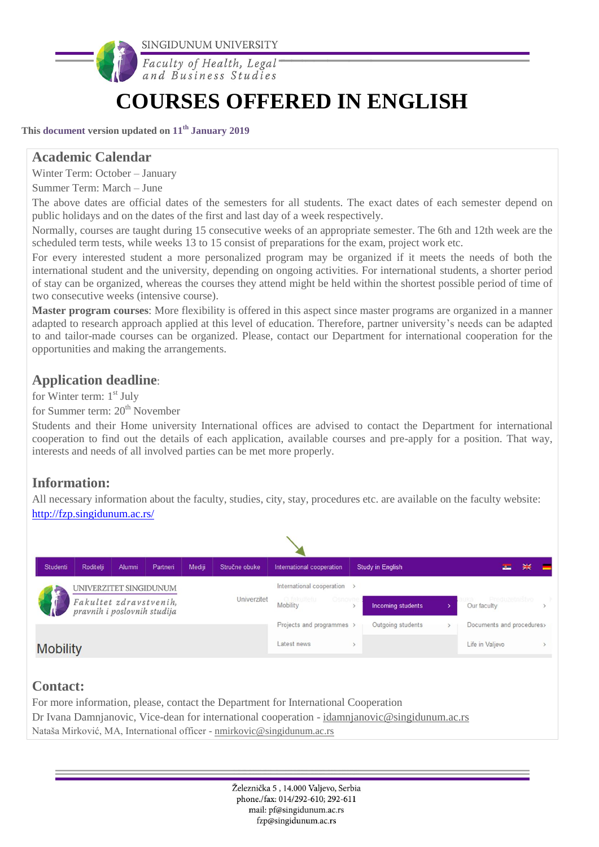

# **COURSES OFFERED IN ENGLISH**

**This document version updated on 11th January 2019**

### **Academic Calendar**

Winter Term: October – January

Summer Term: March – June

The above dates are official dates of the semesters for all students. The exact dates of each semester depend on public holidays and on the dates of the first and last day of a week respectively.

Normally, courses are taught during 15 consecutive weeks of an appropriate semester. The 6th and 12th week are the scheduled term tests, while weeks 13 to 15 consist of preparations for the exam, project work etc.

For every interested student a more personalized program may be organized if it meets the needs of both the international student and the university, depending on ongoing activities. For international students, a shorter period of stay can be organized, whereas the courses they attend might be held within the shortest possible period of time of two consecutive weeks (intensive course).

**Master program courses**: More flexibility is offered in this aspect since master programs are organized in a manner adapted to research approach applied at this level of education. Therefore, partner university's needs can be adapted to and tailor-made courses can be organized. Please, contact our Department for international cooperation for the opportunities and making the arrangements.

# **Application deadline**:

for Winter term: 1<sup>st</sup> July

for Summer term:  $20<sup>th</sup>$  November

Students and their Home university International offices are advised to contact the Department for international cooperation to find out the details of each application, available courses and pre-apply for a position. That way, interests and needs of all involved parties can be met more properly.

# **Information:**

All necessary information about the faculty, studies, city, stay, procedures etc. are available on the faculty website: <http://fzp.singidunum.ac.rs/>



Nataša Mirković, MA, International officer - [nmirkovic@singidunum.ac.rs](mailto:nmirkovic@singidunum.ac.rs)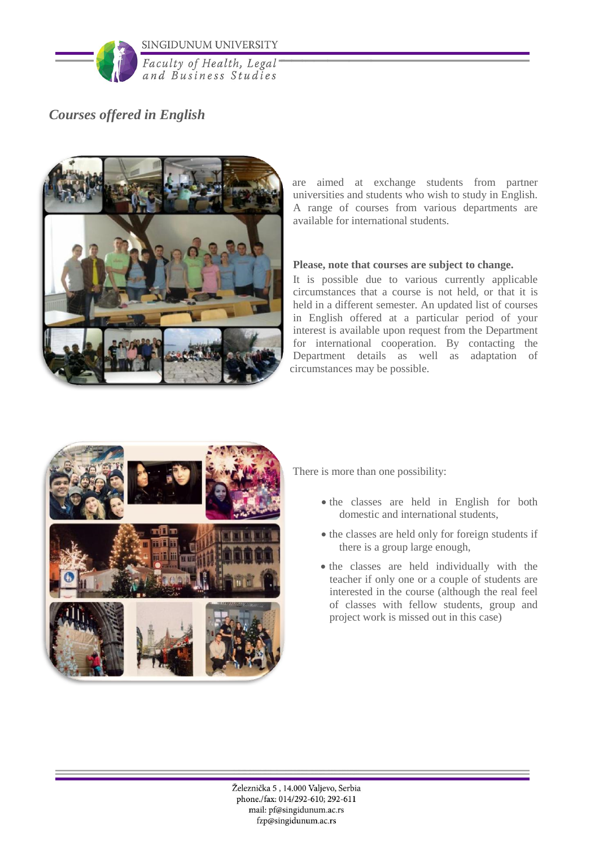

Faculty of Health, Legal and Business Studies

# *Courses offered in English*



are aimed at exchange students from partner universities and students who wish to study in English. A range of courses from various departments are available for international students.

#### **Please, note that courses are subject to change.**

It is possible due to various currently applicable circumstances that a course is not held, or that it is held in a different semester. An updated list of courses in English offered at a particular period of your interest is available upon request from the Department for international cooperation. By contacting the Department details as well as adaptation of circumstances may be possible.



There is more than one possibility:

- the classes are held in English for both domestic and international students,
- the classes are held only for foreign students if there is a group large enough,
- the classes are held individually with the teacher if only one or a couple of students are interested in the course (although the real feel of classes with fellow students, group and project work is missed out in this case)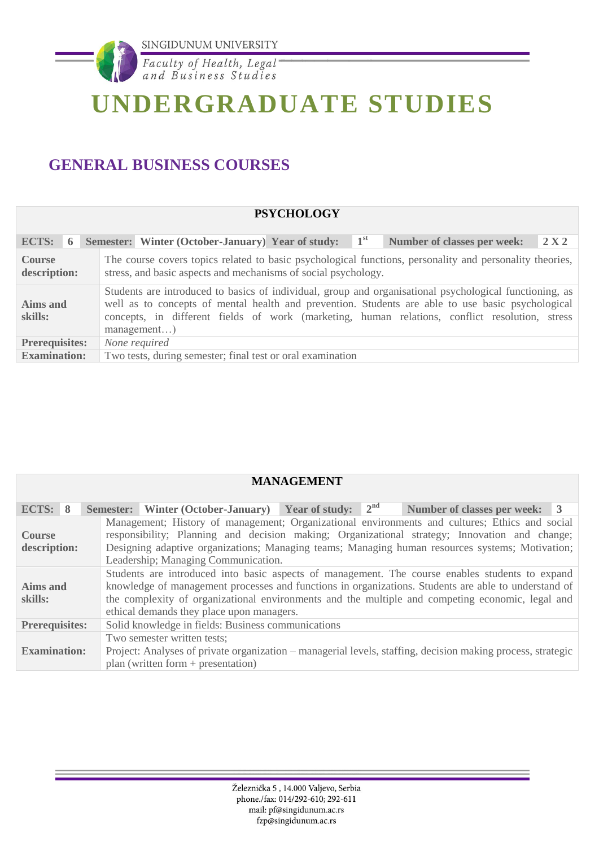

# **UNDERGRADUATE STUDIES**

# **GENERAL BUSINESS COURSES**

|                                                                                                                                                                                                                                                                                                                                                               | <b>PSYCHOLOGY</b>                                                                                                                                                          |  |  |  |  |  |  |
|---------------------------------------------------------------------------------------------------------------------------------------------------------------------------------------------------------------------------------------------------------------------------------------------------------------------------------------------------------------|----------------------------------------------------------------------------------------------------------------------------------------------------------------------------|--|--|--|--|--|--|
| <b>ECTS:</b><br>6                                                                                                                                                                                                                                                                                                                                             | $1^{st}$<br>Semester: Winter (October-January) Year of study:<br><b>Number of classes per week:</b><br>2 X 2                                                               |  |  |  |  |  |  |
| <b>Course</b><br>description:                                                                                                                                                                                                                                                                                                                                 | The course covers topics related to basic psychological functions, personality and personality theories,<br>stress, and basic aspects and mechanisms of social psychology. |  |  |  |  |  |  |
| Students are introduced to basics of individual, group and organisational psychological functioning, as<br>well as to concepts of mental health and prevention. Students are able to use basic psychological<br><b>Aims and</b><br>concepts, in different fields of work (marketing, human relations, conflict resolution, stress<br>skills:<br>$m$ anagement |                                                                                                                                                                            |  |  |  |  |  |  |
| <b>Prerequisites:</b>                                                                                                                                                                                                                                                                                                                                         | None required                                                                                                                                                              |  |  |  |  |  |  |
| <b>Examination:</b>                                                                                                                                                                                                                                                                                                                                           | Two tests, during semester; final test or oral examination                                                                                                                 |  |  |  |  |  |  |

| <b>MANAGEMENT</b>                                                                                                                                                                                                                                                                                                                                                               |                                                                                                                                                                                    |  |  |  |  |  |
|---------------------------------------------------------------------------------------------------------------------------------------------------------------------------------------------------------------------------------------------------------------------------------------------------------------------------------------------------------------------------------|------------------------------------------------------------------------------------------------------------------------------------------------------------------------------------|--|--|--|--|--|
| ECTS: $8$                                                                                                                                                                                                                                                                                                                                                                       | <b>Semester:</b> Winter (October-January) Year of study: $2^{nd}$<br>Number of classes per week: 3                                                                                 |  |  |  |  |  |
| Management; History of management; Organizational environments and cultures; Ethics and social<br>responsibility; Planning and decision making; Organizational strategy; Innovation and change;<br><b>Course</b><br>Designing adaptive organizations; Managing teams; Managing human resources systems; Motivation;<br>description:<br>Leadership; Managing Communication.      |                                                                                                                                                                                    |  |  |  |  |  |
| Students are introduced into basic aspects of management. The course enables students to expand<br>knowledge of management processes and functions in organizations. Students are able to understand of<br>Aims and<br>the complexity of organizational environments and the multiple and competing economic, legal and<br>skills:<br>ethical demands they place upon managers. |                                                                                                                                                                                    |  |  |  |  |  |
| <b>Prerequisites:</b>                                                                                                                                                                                                                                                                                                                                                           | Solid knowledge in fields: Business communications                                                                                                                                 |  |  |  |  |  |
| <b>Examination:</b>                                                                                                                                                                                                                                                                                                                                                             | Two semester written tests;<br>Project: Analyses of private organization – managerial levels, staffing, decision making process, strategic<br>plan (written form $+$ presentation) |  |  |  |  |  |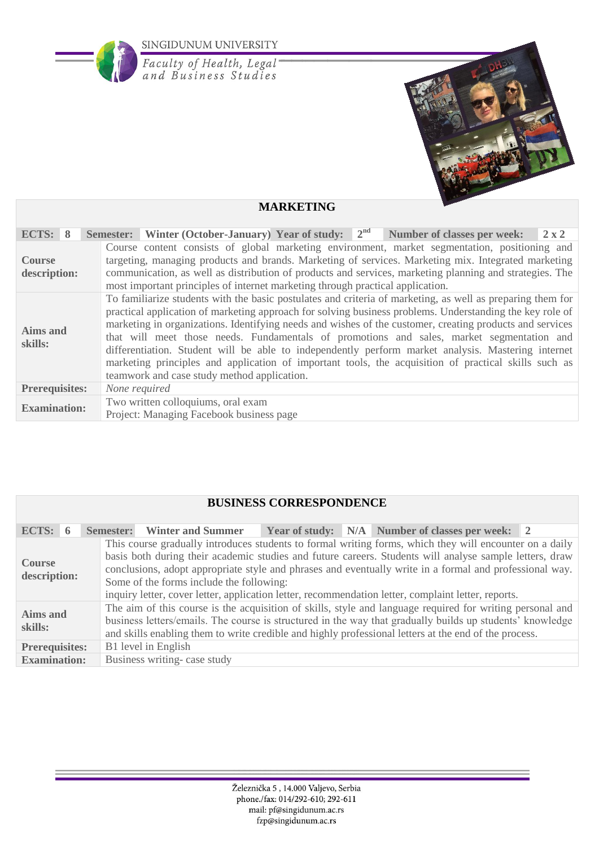

**MARKETING**

| ECTS: 8                                                                                               |  |                                                                                                                                                                                                                                                                                                                                                                                                                                                                                                                                                                                                                                                                                                                                                                                |  |               |  |  |  |  |  | Semester: Winter (October-January) Year of study: $2nd$ Number of classes per week:                                                                                                                                                                                                                             |  |  | $2 \times 2$ |
|-------------------------------------------------------------------------------------------------------|--|--------------------------------------------------------------------------------------------------------------------------------------------------------------------------------------------------------------------------------------------------------------------------------------------------------------------------------------------------------------------------------------------------------------------------------------------------------------------------------------------------------------------------------------------------------------------------------------------------------------------------------------------------------------------------------------------------------------------------------------------------------------------------------|--|---------------|--|--|--|--|--|-----------------------------------------------------------------------------------------------------------------------------------------------------------------------------------------------------------------------------------------------------------------------------------------------------------------|--|--|--------------|
| <b>Course</b><br>description:                                                                         |  |                                                                                                                                                                                                                                                                                                                                                                                                                                                                                                                                                                                                                                                                                                                                                                                |  |               |  |  |  |  |  | Course content consists of global marketing environment, market segmentation, positioning and<br>targeting, managing products and brands. Marketing of services. Marketing mix. Integrated marketing<br>communication, as well as distribution of products and services, marketing planning and strategies. The |  |  |              |
| Aims and<br>skills:                                                                                   |  | most important principles of internet marketing through practical application.<br>To familiarize students with the basic postulates and criteria of marketing, as well as preparing them for<br>practical application of marketing approach for solving business problems. Understanding the key role of<br>marketing in organizations. Identifying needs and wishes of the customer, creating products and services<br>that will meet those needs. Fundamentals of promotions and sales, market segmentation and<br>differentiation. Student will be able to independently perform market analysis. Mastering internet<br>marketing principles and application of important tools, the acquisition of practical skills such as<br>teamwork and case study method application. |  |               |  |  |  |  |  |                                                                                                                                                                                                                                                                                                                 |  |  |              |
| <b>Prerequisites:</b>                                                                                 |  |                                                                                                                                                                                                                                                                                                                                                                                                                                                                                                                                                                                                                                                                                                                                                                                |  | None required |  |  |  |  |  |                                                                                                                                                                                                                                                                                                                 |  |  |              |
| Two written colloquiums, oral exam<br><b>Examination:</b><br>Project: Managing Facebook business page |  |                                                                                                                                                                                                                                                                                                                                                                                                                                                                                                                                                                                                                                                                                                                                                                                |  |               |  |  |  |  |  |                                                                                                                                                                                                                                                                                                                 |  |  |              |

# **BUSINESS CORRESPONDENCE**

| ECTS: $6$                     | <b>Semester:</b> Winter and Summer                                                                                                                                                                                                                                                                                                                                                                                                                                               |  |  | Year of study: N/A Number of classes per week: 2 |  |  |  |  |  |
|-------------------------------|----------------------------------------------------------------------------------------------------------------------------------------------------------------------------------------------------------------------------------------------------------------------------------------------------------------------------------------------------------------------------------------------------------------------------------------------------------------------------------|--|--|--------------------------------------------------|--|--|--|--|--|
| <b>Course</b><br>description: | This course gradually introduces students to formal writing forms, which they will encounter on a daily<br>basis both during their academic studies and future careers. Students will analyse sample letters, draw<br>conclusions, adopt appropriate style and phrases and eventually write in a formal and professional way.<br>Some of the forms include the following:<br>inquiry letter, cover letter, application letter, recommendation letter, complaint letter, reports. |  |  |                                                  |  |  |  |  |  |
| Aims and<br>skills:           | The aim of this course is the acquisition of skills, style and language required for writing personal and<br>business letters/emails. The course is structured in the way that gradually builds up students' knowledge<br>and skills enabling them to write credible and highly professional letters at the end of the process.                                                                                                                                                  |  |  |                                                  |  |  |  |  |  |
| <b>Prerequisites:</b>         | B1 level in English                                                                                                                                                                                                                                                                                                                                                                                                                                                              |  |  |                                                  |  |  |  |  |  |
| <b>Examination:</b>           | Business writing-case study                                                                                                                                                                                                                                                                                                                                                                                                                                                      |  |  |                                                  |  |  |  |  |  |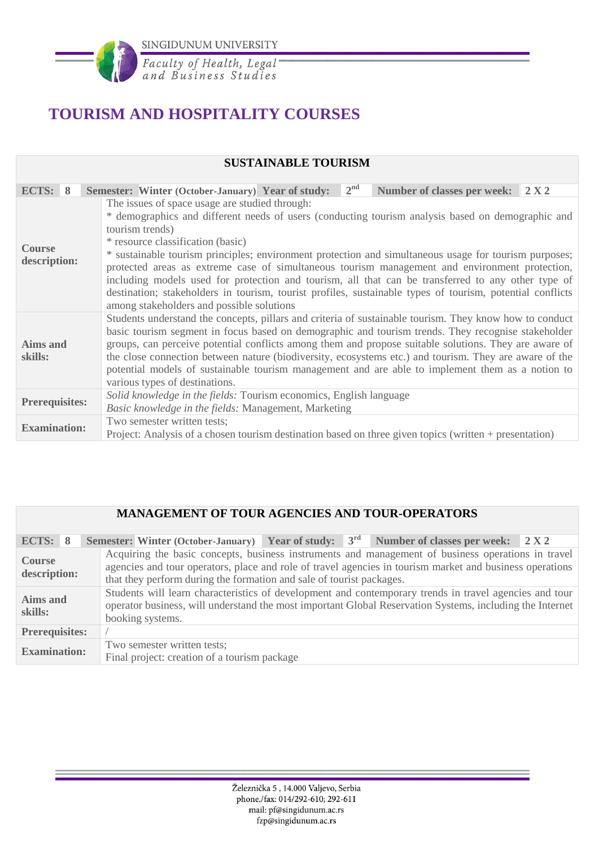

Faculty of Health, Legal<br>and Business Studies

# **TOURISM AND HOSPITALITY COURSES**

#### **SUSTAINABLE TOURISM**

| ECTS: 8                                                                                                                                                                                                                                                                                                                                                                                                                                                                                                                                                                                                                                                               | 2 <sup>nd</sup><br>Semester: Winter (October-January) Year of study:<br>Number of classes per week: 2 X 2                                                                                                                                                                                                                                                                                                                                                                                                                                                              |  |  |  |  |  |  |
|-----------------------------------------------------------------------------------------------------------------------------------------------------------------------------------------------------------------------------------------------------------------------------------------------------------------------------------------------------------------------------------------------------------------------------------------------------------------------------------------------------------------------------------------------------------------------------------------------------------------------------------------------------------------------|------------------------------------------------------------------------------------------------------------------------------------------------------------------------------------------------------------------------------------------------------------------------------------------------------------------------------------------------------------------------------------------------------------------------------------------------------------------------------------------------------------------------------------------------------------------------|--|--|--|--|--|--|
|                                                                                                                                                                                                                                                                                                                                                                                                                                                                                                                                                                                                                                                                       | The issues of space usage are studied through:                                                                                                                                                                                                                                                                                                                                                                                                                                                                                                                         |  |  |  |  |  |  |
| * demographics and different needs of users (conducting tourism analysis based on demographic and<br>tourism trends)<br>* resource classification (basic)<br><b>Course</b><br>* sustainable tourism principles; environment protection and simultaneous usage for tourism purposes;<br>description:<br>protected areas as extreme case of simultaneous tourism management and environment protection,<br>including models used for protection and tourism, all that can be transferred to any other type of<br>destination; stakeholders in tourism, tourist profiles, sustainable types of tourism, potential conflicts<br>among stakeholders and possible solutions |                                                                                                                                                                                                                                                                                                                                                                                                                                                                                                                                                                        |  |  |  |  |  |  |
| <b>Aims and</b><br>skills:                                                                                                                                                                                                                                                                                                                                                                                                                                                                                                                                                                                                                                            | Students understand the concepts, pillars and criteria of sustainable tourism. They know how to conduct<br>basic tourism segment in focus based on demographic and tourism trends. They recognise stakeholder<br>groups, can perceive potential conflicts among them and propose suitable solutions. They are aware of<br>the close connection between nature (biodiversity, ecosystems etc.) and tourism. They are aware of the<br>potential models of sustainable tourism management and are able to implement them as a notion to<br>various types of destinations. |  |  |  |  |  |  |
| <b>Prerequisites:</b>                                                                                                                                                                                                                                                                                                                                                                                                                                                                                                                                                                                                                                                 | Solid knowledge in the fields: Tourism economics, English language<br>Basic knowledge in the fields: Management, Marketing                                                                                                                                                                                                                                                                                                                                                                                                                                             |  |  |  |  |  |  |
| Two semester written tests;<br><b>Examination:</b><br>Project: Analysis of a chosen tourism destination based on three given topics (written + presentation)                                                                                                                                                                                                                                                                                                                                                                                                                                                                                                          |                                                                                                                                                                                                                                                                                                                                                                                                                                                                                                                                                                        |  |  |  |  |  |  |

### **MANAGEMENT OF TOUR AGENCIES AND TOUR-OPERATORS**

| ECTS: 8                                                                                            |  | Semester: Winter (October-January) Year of study: $3rd$ Number of classes per week: 2X2                                                                                                                                                                                                |  |  |  |  |  |  |  |
|----------------------------------------------------------------------------------------------------|--|----------------------------------------------------------------------------------------------------------------------------------------------------------------------------------------------------------------------------------------------------------------------------------------|--|--|--|--|--|--|--|
| <b>Course</b><br>description:                                                                      |  | Acquiring the basic concepts, business instruments and management of business operations in travel<br>agencies and tour operators, place and role of travel agencies in tourism market and business operations<br>that they perform during the formation and sale of tourist packages. |  |  |  |  |  |  |  |
| Aims and<br>skills:                                                                                |  | Students will learn characteristics of development and contemporary trends in travel agencies and tour<br>operator business, will understand the most important Global Reservation Systems, including the Internet<br>booking systems.                                                 |  |  |  |  |  |  |  |
| <b>Prerequisites:</b>                                                                              |  |                                                                                                                                                                                                                                                                                        |  |  |  |  |  |  |  |
| Two semester written tests;<br><b>Examination:</b><br>Final project: creation of a tourism package |  |                                                                                                                                                                                                                                                                                        |  |  |  |  |  |  |  |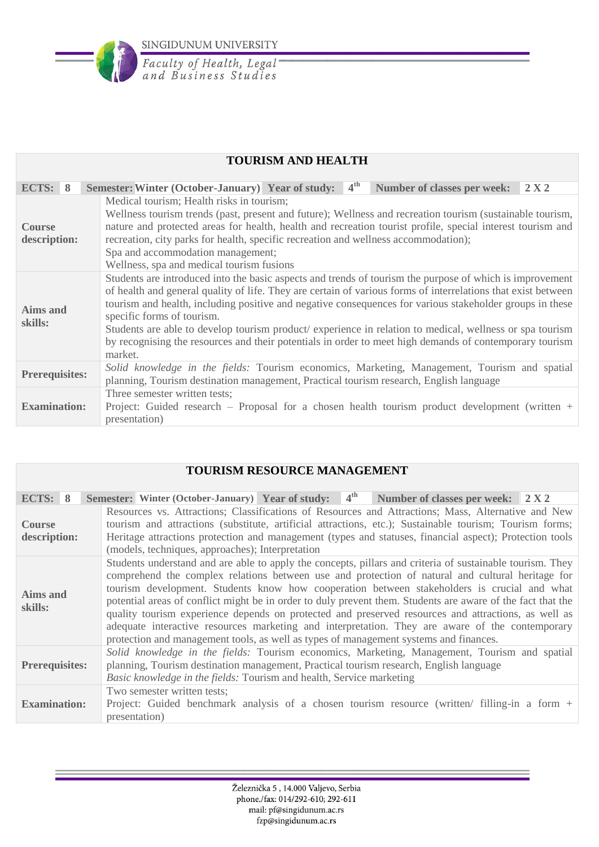

| <b>TOURISM AND HEALTH</b>                                                                                                                                                                                                                                                                                                                                                                                                                                                                                                                                                                                                   |                                                                                                                                                                                                                 |                                                                                                                                                                                                                                                                                                                                                                                                                                               |  |  |  |  |  |  |
|-----------------------------------------------------------------------------------------------------------------------------------------------------------------------------------------------------------------------------------------------------------------------------------------------------------------------------------------------------------------------------------------------------------------------------------------------------------------------------------------------------------------------------------------------------------------------------------------------------------------------------|-----------------------------------------------------------------------------------------------------------------------------------------------------------------------------------------------------------------|-----------------------------------------------------------------------------------------------------------------------------------------------------------------------------------------------------------------------------------------------------------------------------------------------------------------------------------------------------------------------------------------------------------------------------------------------|--|--|--|--|--|--|
| ECTS: $8$                                                                                                                                                                                                                                                                                                                                                                                                                                                                                                                                                                                                                   |                                                                                                                                                                                                                 | 4 <sup>th</sup><br><b>Semester: Winter (October-January) Year of study:</b><br>2 X 2<br><b>Number of classes per week:</b>                                                                                                                                                                                                                                                                                                                    |  |  |  |  |  |  |
| <b>Course</b><br>description:                                                                                                                                                                                                                                                                                                                                                                                                                                                                                                                                                                                               |                                                                                                                                                                                                                 | Medical tourism; Health risks in tourism;<br>Wellness tourism trends (past, present and future); Wellness and recreation tourism (sustainable tourism,<br>nature and protected areas for health, health and recreation tourist profile, special interest tourism and<br>recreation, city parks for health, specific recreation and wellness accommodation);<br>Spa and accommodation management;<br>Wellness, spa and medical tourism fusions |  |  |  |  |  |  |
| Students are introduced into the basic aspects and trends of tourism the purpose of which is improvement<br>of health and general quality of life. They are certain of various forms of interrelations that exist between<br>tourism and health, including positive and negative consequences for various stakeholder groups in these<br>Aims and<br>specific forms of tourism.<br>skills:<br>Students are able to develop tourism product/experience in relation to medical, wellness or spa tourism<br>by recognising the resources and their potentials in order to meet high demands of contemporary tourism<br>market. |                                                                                                                                                                                                                 |                                                                                                                                                                                                                                                                                                                                                                                                                                               |  |  |  |  |  |  |
|                                                                                                                                                                                                                                                                                                                                                                                                                                                                                                                                                                                                                             | Solid knowledge in the fields: Tourism economics, Marketing, Management, Tourism and spatial<br><b>Prerequisites:</b><br>planning, Tourism destination management, Practical tourism research, English language |                                                                                                                                                                                                                                                                                                                                                                                                                                               |  |  |  |  |  |  |
| <b>Examination:</b>                                                                                                                                                                                                                                                                                                                                                                                                                                                                                                                                                                                                         |                                                                                                                                                                                                                 | Three semester written tests;<br>Project: Guided research – Proposal for a chosen health tourism product development (written $+$<br>presentation)                                                                                                                                                                                                                                                                                            |  |  |  |  |  |  |

| <b>TOURISM RESOURCE MANAGEMENT</b>                                                                                                                                                                                                                                                      |                                                                                                                                                                                                                                                                                                                                                                                                                                                                                                                                                                                                                                                                                                                                                   |               |                             |  |  |                                                                                               |  |  |
|-----------------------------------------------------------------------------------------------------------------------------------------------------------------------------------------------------------------------------------------------------------------------------------------|---------------------------------------------------------------------------------------------------------------------------------------------------------------------------------------------------------------------------------------------------------------------------------------------------------------------------------------------------------------------------------------------------------------------------------------------------------------------------------------------------------------------------------------------------------------------------------------------------------------------------------------------------------------------------------------------------------------------------------------------------|---------------|-----------------------------|--|--|-----------------------------------------------------------------------------------------------|--|--|
| ECTS: $8$                                                                                                                                                                                                                                                                               |                                                                                                                                                                                                                                                                                                                                                                                                                                                                                                                                                                                                                                                                                                                                                   |               |                             |  |  | Semester: Winter (October-January) Year of study: $4th$ Number of classes per week: 2 X 2     |  |  |
| <b>Course</b>                                                                                                                                                                                                                                                                           | Resources vs. Attractions; Classifications of Resources and Attractions; Mass, Alternative and New<br>tourism and attractions (substitute, artificial attractions, etc.); Sustainable tourism; Tourism forms;<br>Heritage attractions protection and management (types and statuses, financial aspect); Protection tools<br>description:<br>(models, techniques, approaches); Interpretation                                                                                                                                                                                                                                                                                                                                                      |               |                             |  |  |                                                                                               |  |  |
| skills:                                                                                                                                                                                                                                                                                 | Students understand and are able to apply the concepts, pillars and criteria of sustainable tourism. They<br>comprehend the complex relations between use and protection of natural and cultural heritage for<br>tourism development. Students know how cooperation between stakeholders is crucial and what<br><b>Aims and</b><br>potential areas of conflict might be in order to duly prevent them. Students are aware of the fact that the<br>quality tourism experience depends on protected and preserved resources and attractions, as well as<br>adequate interactive resources marketing and interpretation. They are aware of the contemporary<br>protection and management tools, as well as types of management systems and finances. |               |                             |  |  |                                                                                               |  |  |
| Solid knowledge in the fields: Tourism economics, Marketing, Management, Tourism and spatial<br>planning, Tourism destination management, Practical tourism research, English language<br><b>Prerequisites:</b><br>Basic knowledge in the fields: Tourism and health, Service marketing |                                                                                                                                                                                                                                                                                                                                                                                                                                                                                                                                                                                                                                                                                                                                                   |               |                             |  |  |                                                                                               |  |  |
| <b>Examination:</b>                                                                                                                                                                                                                                                                     |                                                                                                                                                                                                                                                                                                                                                                                                                                                                                                                                                                                                                                                                                                                                                   | presentation) | Two semester written tests; |  |  | Project: Guided benchmark analysis of a chosen tourism resource (written/ filling-in a form + |  |  |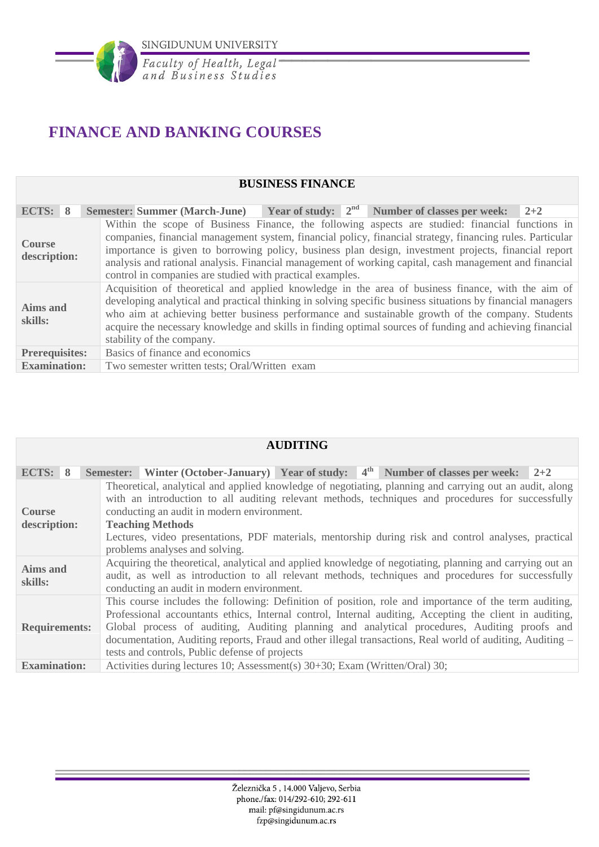

# **FINANCE AND BANKING COURSES**

#### **BUSINESS FINANCE**

| ECTS: 8                       | <b>Year of study:</b> $2^{nd}$ Number of classes per week: $2+2$<br><b>Semester: Summer (March-June)</b>                                                                                                                                                                                                                                                                                                                                                                                    |
|-------------------------------|---------------------------------------------------------------------------------------------------------------------------------------------------------------------------------------------------------------------------------------------------------------------------------------------------------------------------------------------------------------------------------------------------------------------------------------------------------------------------------------------|
| <b>Course</b><br>description: | Within the scope of Business Finance, the following aspects are studied: financial functions in<br>companies, financial management system, financial policy, financial strategy, financing rules. Particular<br>importance is given to borrowing policy, business plan design, investment projects, financial report<br>analysis and rational analysis. Financial management of working capital, cash management and financial<br>control in companies are studied with practical examples. |
| Aims and<br>skills:           | Acquisition of theoretical and applied knowledge in the area of business finance, with the aim of<br>developing analytical and practical thinking in solving specific business situations by financial managers<br>who aim at achieving better business performance and sustainable growth of the company. Students<br>acquire the necessary knowledge and skills in finding optimal sources of funding and achieving financial<br>stability of the company.                                |
| <b>Prerequisites:</b>         | Basics of finance and economics                                                                                                                                                                                                                                                                                                                                                                                                                                                             |
| <b>Examination:</b>           | Two semester written tests; Oral/Written exam                                                                                                                                                                                                                                                                                                                                                                                                                                               |

| <b>AUDITING</b>                                                                                                                                                                                                                                                             |                                                                                                                                                                                                                                                                                                                                                                                                                                                                                 |  |  |  |  |  |  |  |
|-----------------------------------------------------------------------------------------------------------------------------------------------------------------------------------------------------------------------------------------------------------------------------|---------------------------------------------------------------------------------------------------------------------------------------------------------------------------------------------------------------------------------------------------------------------------------------------------------------------------------------------------------------------------------------------------------------------------------------------------------------------------------|--|--|--|--|--|--|--|
| ECTS: 8                                                                                                                                                                                                                                                                     | Semester: Winter (October-January) Year of study: $4th$ Number of classes per week: 2+2                                                                                                                                                                                                                                                                                                                                                                                         |  |  |  |  |  |  |  |
| Theoretical, analytical and applied knowledge of negotiating, planning and carrying out an audit, along<br>with an introduction to all auditing relevant methods, techniques and procedures for successfully<br>conducting an audit in modern environment.<br><b>Course</b> |                                                                                                                                                                                                                                                                                                                                                                                                                                                                                 |  |  |  |  |  |  |  |
| description:                                                                                                                                                                                                                                                                | <b>Teaching Methods</b>                                                                                                                                                                                                                                                                                                                                                                                                                                                         |  |  |  |  |  |  |  |
|                                                                                                                                                                                                                                                                             | Lectures, video presentations, PDF materials, mentorship during risk and control analyses, practical<br>problems analyses and solving.                                                                                                                                                                                                                                                                                                                                          |  |  |  |  |  |  |  |
| <b>Aims and</b><br>skills:                                                                                                                                                                                                                                                  | Acquiring the theoretical, analytical and applied knowledge of negotiating, planning and carrying out an<br>audit, as well as introduction to all relevant methods, techniques and procedures for successfully<br>conducting an audit in modern environment.                                                                                                                                                                                                                    |  |  |  |  |  |  |  |
| <b>Requirements:</b>                                                                                                                                                                                                                                                        | This course includes the following: Definition of position, role and importance of the term auditing,<br>Professional accountants ethics, Internal control, Internal auditing, Accepting the client in auditing,<br>Global process of auditing, Auditing planning and analytical procedures, Auditing proofs and<br>documentation, Auditing reports, Fraud and other illegal transactions, Real world of auditing, Auditing –<br>tests and controls, Public defense of projects |  |  |  |  |  |  |  |
| <b>Examination:</b>                                                                                                                                                                                                                                                         | Activities during lectures 10; Assessment(s) 30+30; Exam (Written/Oral) 30;                                                                                                                                                                                                                                                                                                                                                                                                     |  |  |  |  |  |  |  |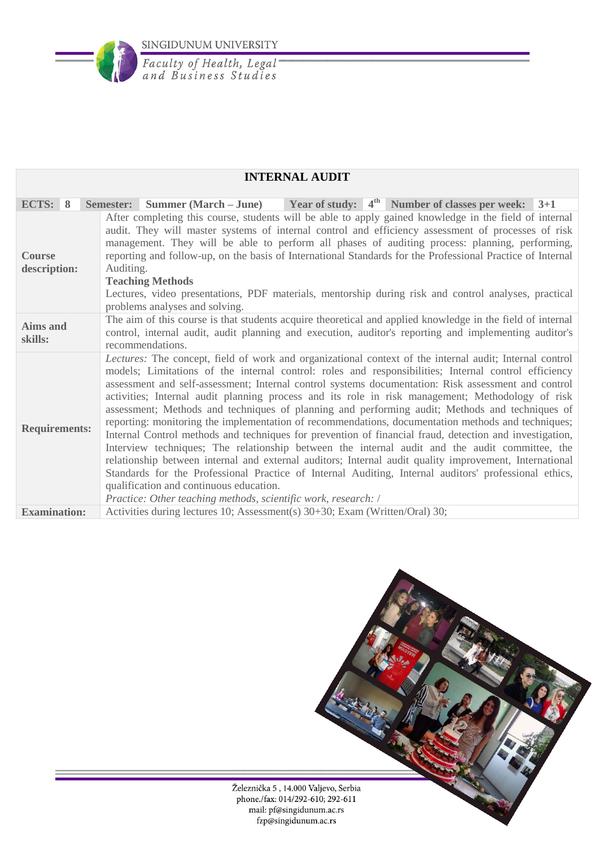

|                                                                                                                                                                                                                                                                                                                                                                                                                                                                                                                                                                                                               |                                                                                                                                                                                                                                         | <b>INTERNAL AUDIT</b>                                                       |                                                                                                                                                                                                                                                                                                                                                                                                                                                                                                                                                                                                                                                                                                                                                                                                                                                                                                                                                                                                                                                                    |  |  |  |  |  |
|---------------------------------------------------------------------------------------------------------------------------------------------------------------------------------------------------------------------------------------------------------------------------------------------------------------------------------------------------------------------------------------------------------------------------------------------------------------------------------------------------------------------------------------------------------------------------------------------------------------|-----------------------------------------------------------------------------------------------------------------------------------------------------------------------------------------------------------------------------------------|-----------------------------------------------------------------------------|--------------------------------------------------------------------------------------------------------------------------------------------------------------------------------------------------------------------------------------------------------------------------------------------------------------------------------------------------------------------------------------------------------------------------------------------------------------------------------------------------------------------------------------------------------------------------------------------------------------------------------------------------------------------------------------------------------------------------------------------------------------------------------------------------------------------------------------------------------------------------------------------------------------------------------------------------------------------------------------------------------------------------------------------------------------------|--|--|--|--|--|
|                                                                                                                                                                                                                                                                                                                                                                                                                                                                                                                                                                                                               |                                                                                                                                                                                                                                         |                                                                             |                                                                                                                                                                                                                                                                                                                                                                                                                                                                                                                                                                                                                                                                                                                                                                                                                                                                                                                                                                                                                                                                    |  |  |  |  |  |
| ECTS: 8                                                                                                                                                                                                                                                                                                                                                                                                                                                                                                                                                                                                       | Semester:<br><b>Summer (March – June)</b>                                                                                                                                                                                               |                                                                             | Year of study: $4^{\text{th}}$ Number of classes per week: 3+1                                                                                                                                                                                                                                                                                                                                                                                                                                                                                                                                                                                                                                                                                                                                                                                                                                                                                                                                                                                                     |  |  |  |  |  |
| After completing this course, students will be able to apply gained knowledge in the field of internal<br>audit. They will master systems of internal control and efficiency assessment of processes of risk<br>management. They will be able to perform all phases of auditing process: planning, performing,<br>reporting and follow-up, on the basis of International Standards for the Professional Practice of Internal<br><b>Course</b><br>description:<br>Auditing.<br><b>Teaching Methods</b><br>Lectures, video presentations, PDF materials, mentorship during risk and control analyses, practical |                                                                                                                                                                                                                                         |                                                                             |                                                                                                                                                                                                                                                                                                                                                                                                                                                                                                                                                                                                                                                                                                                                                                                                                                                                                                                                                                                                                                                                    |  |  |  |  |  |
|                                                                                                                                                                                                                                                                                                                                                                                                                                                                                                                                                                                                               | problems analyses and solving.                                                                                                                                                                                                          |                                                                             |                                                                                                                                                                                                                                                                                                                                                                                                                                                                                                                                                                                                                                                                                                                                                                                                                                                                                                                                                                                                                                                                    |  |  |  |  |  |
| Aims and<br>skills:                                                                                                                                                                                                                                                                                                                                                                                                                                                                                                                                                                                           | The aim of this course is that students acquire theoretical and applied knowledge in the field of internal<br>control, internal audit, audit planning and execution, auditor's reporting and implementing auditor's<br>recommendations. |                                                                             |                                                                                                                                                                                                                                                                                                                                                                                                                                                                                                                                                                                                                                                                                                                                                                                                                                                                                                                                                                                                                                                                    |  |  |  |  |  |
| <b>Requirements:</b>                                                                                                                                                                                                                                                                                                                                                                                                                                                                                                                                                                                          | qualification and continuous education.                                                                                                                                                                                                 | Practice: Other teaching methods, scientific work, research: /              | Lectures: The concept, field of work and organizational context of the internal audit; Internal control<br>models; Limitations of the internal control: roles and responsibilities; Internal control efficiency<br>assessment and self-assessment; Internal control systems documentation: Risk assessment and control<br>activities; Internal audit planning process and its role in risk management; Methodology of risk<br>assessment; Methods and techniques of planning and performing audit; Methods and techniques of<br>reporting: monitoring the implementation of recommendations, documentation methods and techniques;<br>Internal Control methods and techniques for prevention of financial fraud, detection and investigation,<br>Interview techniques; The relationship between the internal audit and the audit committee, the<br>relationship between internal and external auditors; Internal audit quality improvement, International<br>Standards for the Professional Practice of Internal Auditing, Internal auditors' professional ethics, |  |  |  |  |  |
| <b>Examination:</b>                                                                                                                                                                                                                                                                                                                                                                                                                                                                                                                                                                                           |                                                                                                                                                                                                                                         | Activities during lectures 10; Assessment(s) 30+30; Exam (Written/Oral) 30; |                                                                                                                                                                                                                                                                                                                                                                                                                                                                                                                                                                                                                                                                                                                                                                                                                                                                                                                                                                                                                                                                    |  |  |  |  |  |

### **INTERNAL AUDIT**

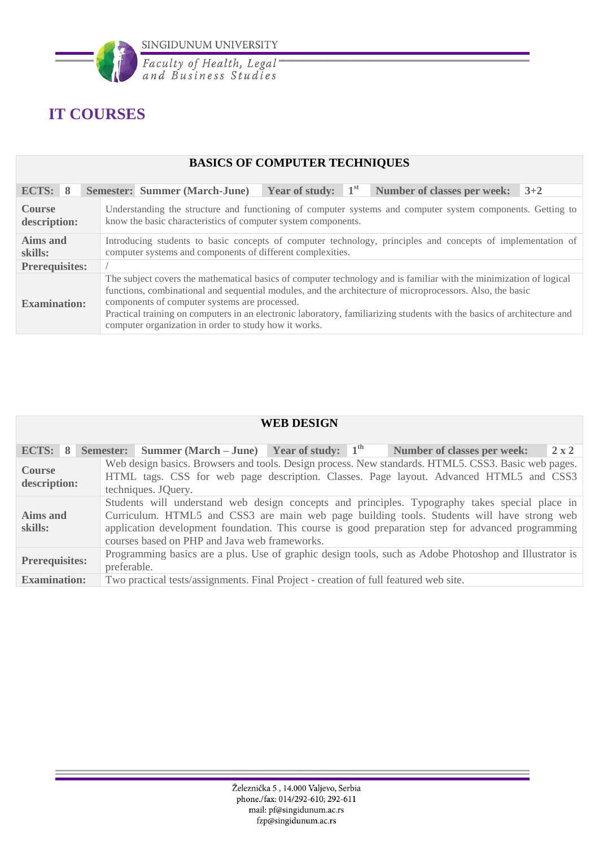

# **IT COURSES**

## **BASICS OF COMPUTER TECHNIQUES**

| ECTS: 8                                                                                                                                                                                                                                                                                                                                                                                                                                                                                     | <b>Semester: Summer (March-June)</b>                          | <b>Year of study:</b> $1st$                                                                                |  | <b>Number of classes per week:</b><br>$3+2$ |  |  |  |
|---------------------------------------------------------------------------------------------------------------------------------------------------------------------------------------------------------------------------------------------------------------------------------------------------------------------------------------------------------------------------------------------------------------------------------------------------------------------------------------------|---------------------------------------------------------------|------------------------------------------------------------------------------------------------------------|--|---------------------------------------------|--|--|--|
| <b>Course</b><br>description:                                                                                                                                                                                                                                                                                                                                                                                                                                                               | know the basic characteristics of computer system components. | Understanding the structure and functioning of computer systems and computer system components. Getting to |  |                                             |  |  |  |
| Aims and<br>Introducing students to basic concepts of computer technology, principles and concepts of implementation of<br>computer systems and components of different complexities.<br>skills:                                                                                                                                                                                                                                                                                            |                                                               |                                                                                                            |  |                                             |  |  |  |
| <b>Prerequisites:</b>                                                                                                                                                                                                                                                                                                                                                                                                                                                                       |                                                               |                                                                                                            |  |                                             |  |  |  |
| The subject covers the mathematical basics of computer technology and is familiar with the minimization of logical<br>functions, combinational and sequential modules, and the architecture of microprocessors. Also, the basic<br>components of computer systems are processed.<br><b>Examination:</b><br>Practical training on computers in an electronic laboratory, familiarizing students with the basics of architecture and<br>computer organization in order to study how it works. |                                                               |                                                                                                            |  |                                             |  |  |  |

| <b>WEB DESIGN</b>                                                                                                                                                                                                                                                                                                                                                         |                                                             |                                                                                                                                                                                                                      |  |  |  |  |  |  |  |  |  |  |  |                                                                                      |  |              |
|---------------------------------------------------------------------------------------------------------------------------------------------------------------------------------------------------------------------------------------------------------------------------------------------------------------------------------------------------------------------------|-------------------------------------------------------------|----------------------------------------------------------------------------------------------------------------------------------------------------------------------------------------------------------------------|--|--|--|--|--|--|--|--|--|--|--|--------------------------------------------------------------------------------------|--|--------------|
| ECTS: 8                                                                                                                                                                                                                                                                                                                                                                   | <b>Semester:</b> Summer (March – June) Year of study: $1th$ |                                                                                                                                                                                                                      |  |  |  |  |  |  |  |  |  |  |  | Number of classes per week:                                                          |  | $2 \times 2$ |
| <b>Course</b><br>description:                                                                                                                                                                                                                                                                                                                                             |                                                             | Web design basics. Browsers and tools. Design process. New standards. HTML5. CSS3. Basic web pages.<br>HTML tags. CSS for web page description. Classes. Page layout. Advanced HTML5 and CSS3<br>techniques. JQuery. |  |  |  |  |  |  |  |  |  |  |  |                                                                                      |  |              |
| Students will understand web design concepts and principles. Typography takes special place in<br>Curriculum. HTML5 and CSS3 are main web page building tools. Students will have strong web<br>Aims and<br>application development foundation. This course is good preparation step for advanced programming<br>skills:<br>courses based on PHP and Java web frameworks. |                                                             |                                                                                                                                                                                                                      |  |  |  |  |  |  |  |  |  |  |  |                                                                                      |  |              |
| Programming basics are a plus. Use of graphic design tools, such as Adobe Photoshop and Illustrator is<br><b>Prerequisites:</b><br>preferable.                                                                                                                                                                                                                            |                                                             |                                                                                                                                                                                                                      |  |  |  |  |  |  |  |  |  |  |  |                                                                                      |  |              |
| <b>Examination:</b>                                                                                                                                                                                                                                                                                                                                                       |                                                             |                                                                                                                                                                                                                      |  |  |  |  |  |  |  |  |  |  |  | Two practical tests/assignments. Final Project - creation of full featured web site. |  |              |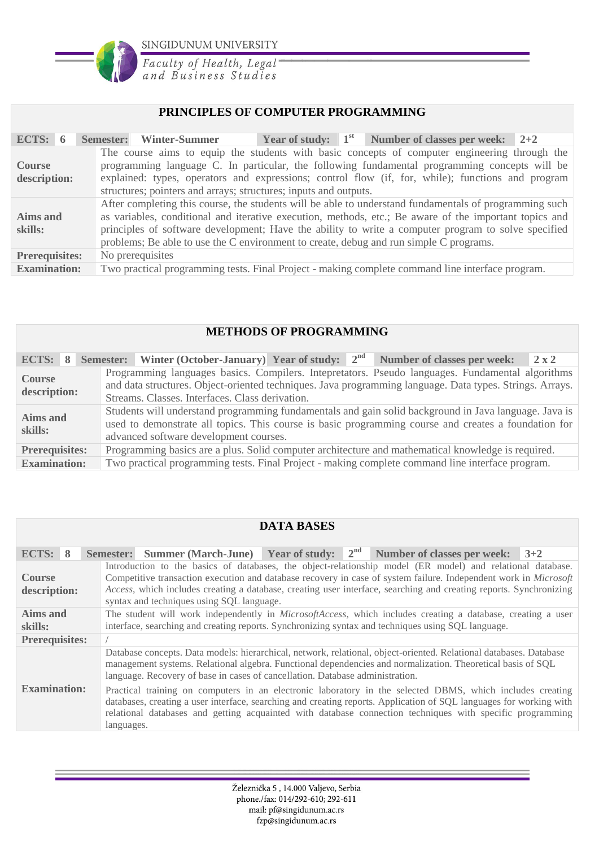

Faculty of Health, Legal<br>and Business Studies

#### **PRINCIPLES OF COMPUTER PROGRAMMING**

| ECTS: $6$                     | Semester: Winter-Summer                                                                          |  | Year of study: $1st$ Number of classes per week: $2+2$                                                                                                                                                                                                                                                                  |  |  |  |  |  |  |
|-------------------------------|--------------------------------------------------------------------------------------------------|--|-------------------------------------------------------------------------------------------------------------------------------------------------------------------------------------------------------------------------------------------------------------------------------------------------------------------------|--|--|--|--|--|--|
| <b>Course</b><br>description: | structures; pointers and arrays; structures; inputs and outputs.                                 |  | The course aims to equip the students with basic concepts of computer engineering through the<br>programming language C. In particular, the following fundamental programming concepts will be<br>explained: types, operators and expressions; control flow (if, for, while); functions and program                     |  |  |  |  |  |  |
| Aims and<br>skills:           | problems; Be able to use the C environment to create, debug and run simple C programs.           |  | After completing this course, the students will be able to understand fundamentals of programming such<br>as variables, conditional and iterative execution, methods, etc.; Be aware of the important topics and<br>principles of software development; Have the ability to write a computer program to solve specified |  |  |  |  |  |  |
| <b>Prerequisites:</b>         | No prerequisites                                                                                 |  |                                                                                                                                                                                                                                                                                                                         |  |  |  |  |  |  |
| <b>Examination:</b>           | Two practical programming tests. Final Project - making complete command line interface program. |  |                                                                                                                                                                                                                                                                                                                         |  |  |  |  |  |  |

#### **METHODS OF PROGRAMMING**

| ECTS: 8                       | Semester: Winter (October-January) Year of study: $2nd$ Number of classes per week: 2 x 2                                                                                                                                                                       |  |  |  |  |  |  |  |
|-------------------------------|-----------------------------------------------------------------------------------------------------------------------------------------------------------------------------------------------------------------------------------------------------------------|--|--|--|--|--|--|--|
| <b>Course</b><br>description: | Programming languages basics. Compilers. Intepretators. Pseudo languages. Fundamental algorithms<br>and data structures. Object-oriented techniques. Java programming language. Data types. Strings. Arrays.<br>Streams, Classes, Interfaces, Class derivation. |  |  |  |  |  |  |  |
| Aims and<br>skills:           | Students will understand programming fundamentals and gain solid background in Java language. Java is<br>used to demonstrate all topics. This course is basic programming course and creates a foundation for<br>advanced software development courses.         |  |  |  |  |  |  |  |
| <b>Prerequisites:</b>         | Programming basics are a plus. Solid computer architecture and mathematical knowledge is required.                                                                                                                                                              |  |  |  |  |  |  |  |
| <b>Examination:</b>           | Two practical programming tests. Final Project - making complete command line interface program.                                                                                                                                                                |  |  |  |  |  |  |  |

## **DATA BASES**

| ECTS: 8                       | Semester: Summer (March-June) Year of study: $2^{nd}$ Number of classes per week: $3+2$                                                                                                                                                                                                                                                                                                           |  |  |  |  |  |  |  |
|-------------------------------|---------------------------------------------------------------------------------------------------------------------------------------------------------------------------------------------------------------------------------------------------------------------------------------------------------------------------------------------------------------------------------------------------|--|--|--|--|--|--|--|
| <b>Course</b><br>description: | Introduction to the basics of databases, the object-relationship model (ER model) and relational database.<br>Competitive transaction execution and database recovery in case of system failure. Independent work in Microsoft<br>Access, which includes creating a database, creating user interface, searching and creating reports. Synchronizing<br>syntax and techniques using SQL language. |  |  |  |  |  |  |  |
| Aims and<br>skills:           | The student will work independently in <i>MicrosoftAccess</i> , which includes creating a database, creating a user<br>interface, searching and creating reports. Synchronizing syntax and techniques using SQL language.                                                                                                                                                                         |  |  |  |  |  |  |  |
| <b>Prerequisites:</b>         |                                                                                                                                                                                                                                                                                                                                                                                                   |  |  |  |  |  |  |  |
|                               | Database concepts. Data models: hierarchical, network, relational, object-oriented. Relational databases. Database<br>management systems. Relational algebra. Functional dependencies and normalization. Theoretical basis of SQL<br>language. Recovery of base in cases of cancellation. Database administration.                                                                                |  |  |  |  |  |  |  |
| <b>Examination:</b>           | Practical training on computers in an electronic laboratory in the selected DBMS, which includes creating<br>databases, creating a user interface, searching and creating reports. Application of SQL languages for working with<br>relational databases and getting acquainted with database connection techniques with specific programming<br>languages.                                       |  |  |  |  |  |  |  |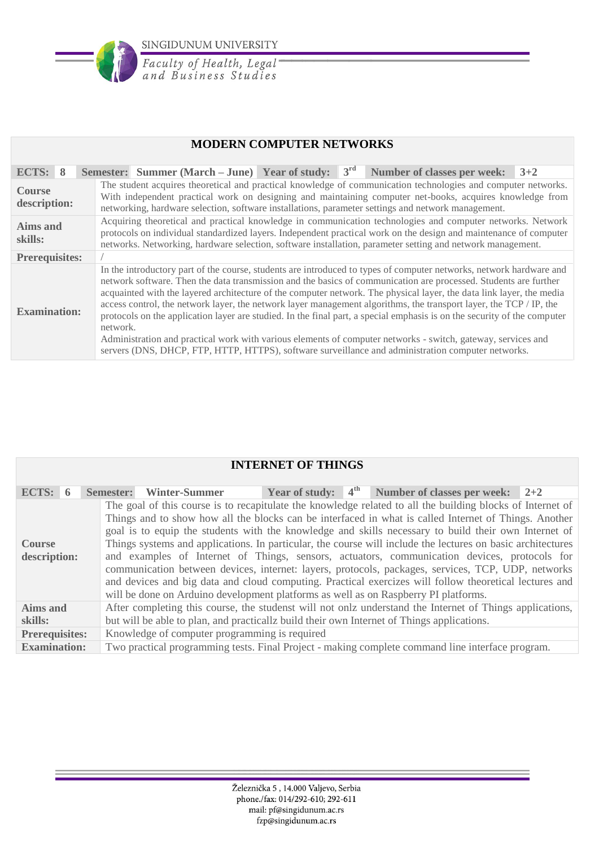

Faculty of Health, Legal<br>and Business Studies

### **MODERN COMPUTER NETWORKS**

| ECTS: 8                       | Semester: Summer (March – June) Year of study: $3^{rd}$ Number of classes per week: $3+2$                                                                                                                                                                                                                                                                                                                                                                                                                                                                                                                                                                                                                                                                                                                                                           |  |  |  |  |  |  |  |  |  |  |  |
|-------------------------------|-----------------------------------------------------------------------------------------------------------------------------------------------------------------------------------------------------------------------------------------------------------------------------------------------------------------------------------------------------------------------------------------------------------------------------------------------------------------------------------------------------------------------------------------------------------------------------------------------------------------------------------------------------------------------------------------------------------------------------------------------------------------------------------------------------------------------------------------------------|--|--|--|--|--|--|--|--|--|--|--|
| <b>Course</b><br>description: | The student acquires theoretical and practical knowledge of communication technologies and computer networks.<br>With independent practical work on designing and maintaining computer net-books, acquires knowledge from<br>networking, hardware selection, software installations, parameter settings and network management.                                                                                                                                                                                                                                                                                                                                                                                                                                                                                                                     |  |  |  |  |  |  |  |  |  |  |  |
| Aims and<br>skills:           | Acquiring theoretical and practical knowledge in communication technologies and computer networks. Network<br>protocols on individual standardized layers. Independent practical work on the design and maintenance of computer<br>networks. Networking, hardware selection, software installation, parameter setting and network management.                                                                                                                                                                                                                                                                                                                                                                                                                                                                                                       |  |  |  |  |  |  |  |  |  |  |  |
| <b>Prerequisites:</b>         |                                                                                                                                                                                                                                                                                                                                                                                                                                                                                                                                                                                                                                                                                                                                                                                                                                                     |  |  |  |  |  |  |  |  |  |  |  |
| <b>Examination:</b>           | In the introductory part of the course, students are introduced to types of computer networks, network hardware and<br>network software. Then the data transmission and the basics of communication are processed. Students are further<br>acquainted with the layered architecture of the computer network. The physical layer, the data link layer, the media<br>access control, the network layer, the network layer management algorithms, the transport layer, the TCP / IP, the<br>protocols on the application layer are studied. In the final part, a special emphasis is on the security of the computer<br>network.<br>Administration and practical work with various elements of computer networks - switch, gateway, services and<br>servers (DNS, DHCP, FTP, HTTP, HTTPS), software surveillance and administration computer networks. |  |  |  |  |  |  |  |  |  |  |  |

|                               |  |                                                                                                                                                                                                                            |  |                                               |  |  | <b>INTERNET OF THINGS</b> |  |  |                                                                                                                                                                                                                                                                                                                                                                                                                                                                                                                                                                                                                                                                                                                                     |  |  |
|-------------------------------|--|----------------------------------------------------------------------------------------------------------------------------------------------------------------------------------------------------------------------------|--|-----------------------------------------------|--|--|---------------------------|--|--|-------------------------------------------------------------------------------------------------------------------------------------------------------------------------------------------------------------------------------------------------------------------------------------------------------------------------------------------------------------------------------------------------------------------------------------------------------------------------------------------------------------------------------------------------------------------------------------------------------------------------------------------------------------------------------------------------------------------------------------|--|--|
| ECTS: $6$                     |  | Year of study: $4^{\text{th}}$ Number of classes per week: $2+2$<br><b>Winter-Summer</b><br><b>Semester:</b><br>The goal of this course is to recapitulate the knowledge related to all the building blocks of Internet of |  |                                               |  |  |                           |  |  |                                                                                                                                                                                                                                                                                                                                                                                                                                                                                                                                                                                                                                                                                                                                     |  |  |
| <b>Course</b><br>description: |  |                                                                                                                                                                                                                            |  |                                               |  |  |                           |  |  | Things and to show how all the blocks can be interfaced in what is called Internet of Things. Another<br>goal is to equip the students with the knowledge and skills necessary to build their own Internet of<br>Things systems and applications. In particular, the course will include the lectures on basic architectures<br>and examples of Internet of Things, sensors, actuators, communication devices, protocols for<br>communication between devices, internet: layers, protocols, packages, services, TCP, UDP, networks<br>and devices and big data and cloud computing. Practical exercizes will follow theoretical lectures and<br>will be done on Arduino development platforms as well as on Raspberry PI platforms. |  |  |
| Aims and<br>skills:           |  |                                                                                                                                                                                                                            |  |                                               |  |  |                           |  |  | After completing this course, the studenst will not onlz understand the Internet of Things applications,<br>but will be able to plan, and practicallz build their own Internet of Things applications.                                                                                                                                                                                                                                                                                                                                                                                                                                                                                                                              |  |  |
| <b>Prerequisites:</b>         |  |                                                                                                                                                                                                                            |  | Knowledge of computer programming is required |  |  |                           |  |  |                                                                                                                                                                                                                                                                                                                                                                                                                                                                                                                                                                                                                                                                                                                                     |  |  |
| <b>Examination:</b>           |  | Two practical programming tests. Final Project - making complete command line interface program.                                                                                                                           |  |                                               |  |  |                           |  |  |                                                                                                                                                                                                                                                                                                                                                                                                                                                                                                                                                                                                                                                                                                                                     |  |  |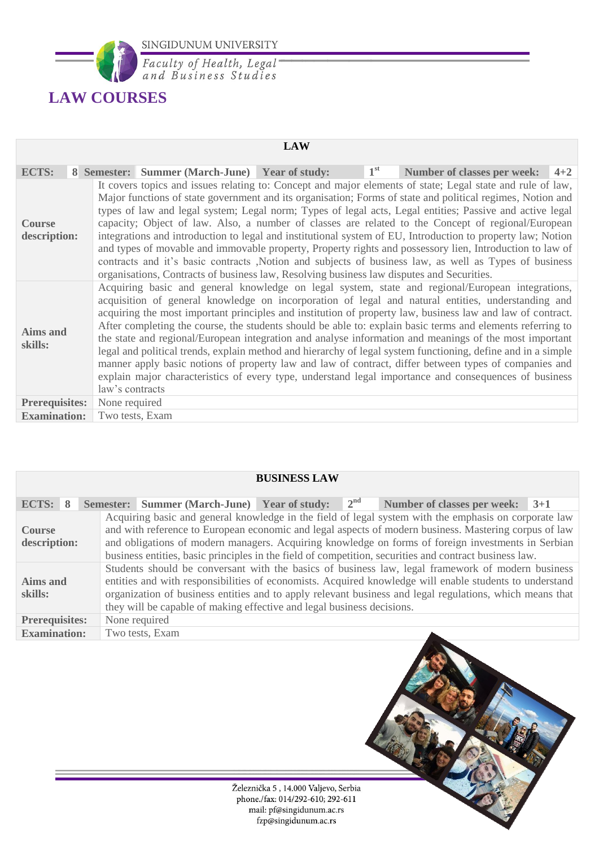

Faculty of Health, Legal<br>and Business Studies

# **LAW COURSES**

|                               |                 |                                                                                                                                                                                                                                                                                                                                                                                                                                                                                                                                                                                                                                                                                                                                                                                                                                                                                                                                                                                  | <b>LAW</b> |              |                                                                                                                                                                                                                                                                                                                                                                                                                                                                                                                                                                                                                                                                                                                                                                            |         |  |  |  |  |
|-------------------------------|-----------------|----------------------------------------------------------------------------------------------------------------------------------------------------------------------------------------------------------------------------------------------------------------------------------------------------------------------------------------------------------------------------------------------------------------------------------------------------------------------------------------------------------------------------------------------------------------------------------------------------------------------------------------------------------------------------------------------------------------------------------------------------------------------------------------------------------------------------------------------------------------------------------------------------------------------------------------------------------------------------------|------------|--------------|----------------------------------------------------------------------------------------------------------------------------------------------------------------------------------------------------------------------------------------------------------------------------------------------------------------------------------------------------------------------------------------------------------------------------------------------------------------------------------------------------------------------------------------------------------------------------------------------------------------------------------------------------------------------------------------------------------------------------------------------------------------------------|---------|--|--|--|--|
| <b>ECTS:</b>                  |                 | 8 Semester: Summer (March-June) Year of study:                                                                                                                                                                                                                                                                                                                                                                                                                                                                                                                                                                                                                                                                                                                                                                                                                                                                                                                                   |            | $1^{\rm st}$ | <b>Number of classes per week:</b>                                                                                                                                                                                                                                                                                                                                                                                                                                                                                                                                                                                                                                                                                                                                         | $4 + 2$ |  |  |  |  |
| <b>Course</b><br>description: |                 | It covers topics and issues relating to: Concept and major elements of state; Legal state and rule of law,<br>Major functions of state government and its organisation; Forms of state and political regimes, Notion and<br>types of law and legal system; Legal norm; Types of legal acts, Legal entities; Passive and active legal<br>capacity; Object of law. Also, a number of classes are related to the Concept of regional/European<br>integrations and introduction to legal and institutional system of EU, Introduction to property law; Notion<br>and types of movable and immovable property, Property rights and possessory lien, Introduction to law of<br>contracts and it's basic contracts , Notion and subjects of business law, as well as Types of business<br>organisations, Contracts of business law, Resolving business law disputes and Securities.<br>Acquiring basic and general knowledge on legal system, state and regional/European integrations, |            |              |                                                                                                                                                                                                                                                                                                                                                                                                                                                                                                                                                                                                                                                                                                                                                                            |         |  |  |  |  |
| <b>Aims and</b><br>skills:    | law's contracts |                                                                                                                                                                                                                                                                                                                                                                                                                                                                                                                                                                                                                                                                                                                                                                                                                                                                                                                                                                                  |            |              | acquisition of general knowledge on incorporation of legal and natural entities, understanding and<br>acquiring the most important principles and institution of property law, business law and law of contract.<br>After completing the course, the students should be able to: explain basic terms and elements referring to<br>the state and regional/European integration and analyse information and meanings of the most important<br>legal and political trends, explain method and hierarchy of legal system functioning, define and in a simple<br>manner apply basic notions of property law and law of contract, differ between types of companies and<br>explain major characteristics of every type, understand legal importance and consequences of business |         |  |  |  |  |
| <b>Prerequisites:</b>         | None required   |                                                                                                                                                                                                                                                                                                                                                                                                                                                                                                                                                                                                                                                                                                                                                                                                                                                                                                                                                                                  |            |              |                                                                                                                                                                                                                                                                                                                                                                                                                                                                                                                                                                                                                                                                                                                                                                            |         |  |  |  |  |
| <b>Examination:</b>           | Two tests, Exam |                                                                                                                                                                                                                                                                                                                                                                                                                                                                                                                                                                                                                                                                                                                                                                                                                                                                                                                                                                                  |            |              |                                                                                                                                                                                                                                                                                                                                                                                                                                                                                                                                                                                                                                                                                                                                                                            |         |  |  |  |  |

| <b>BUSINESS LAW</b>                                                              |  |                                                                                                                                                                                                                                                                                                                                                                                                    |  |              |                                                                                                                                                                                                                                                                                                                                                                                                                                |       |  |  |  |  |  |
|----------------------------------------------------------------------------------|--|----------------------------------------------------------------------------------------------------------------------------------------------------------------------------------------------------------------------------------------------------------------------------------------------------------------------------------------------------------------------------------------------------|--|--------------|--------------------------------------------------------------------------------------------------------------------------------------------------------------------------------------------------------------------------------------------------------------------------------------------------------------------------------------------------------------------------------------------------------------------------------|-------|--|--|--|--|--|
| ECTS: $8$                                                                        |  | Semester: Summer (March-June) Year of study:                                                                                                                                                                                                                                                                                                                                                       |  | $2^{\rm nd}$ | <b>Number of classes per week:</b>                                                                                                                                                                                                                                                                                                                                                                                             | $3+1$ |  |  |  |  |  |
| <b>Course</b><br>description:                                                    |  |                                                                                                                                                                                                                                                                                                                                                                                                    |  |              | Acquiring basic and general knowledge in the field of legal system with the emphasis on corporate law<br>and with reference to European economic and legal aspects of modern business. Mastering corpus of law<br>and obligations of modern managers. Acquiring knowledge on forms of foreign investments in Serbian<br>business entities, basic principles in the field of competition, securities and contract business law. |       |  |  |  |  |  |
| Aims and<br>skills:                                                              |  | Students should be conversant with the basics of business law, legal framework of modern business<br>entities and with responsibilities of economists. Acquired knowledge will enable students to understand<br>organization of business entities and to apply relevant business and legal regulations, which means that<br>they will be capable of making effective and legal business decisions. |  |              |                                                                                                                                                                                                                                                                                                                                                                                                                                |       |  |  |  |  |  |
| <b>Prerequisites:</b><br>None required<br>Two tests, Exam<br><b>Examination:</b> |  |                                                                                                                                                                                                                                                                                                                                                                                                    |  |              |                                                                                                                                                                                                                                                                                                                                                                                                                                |       |  |  |  |  |  |

Železnička 5 , 14.000 Valjevo, Serbia<br>phone./fax: 014/292-610; 292-611 mail: pf@singidunum.ac.rs fzp@singidunum.ac.rs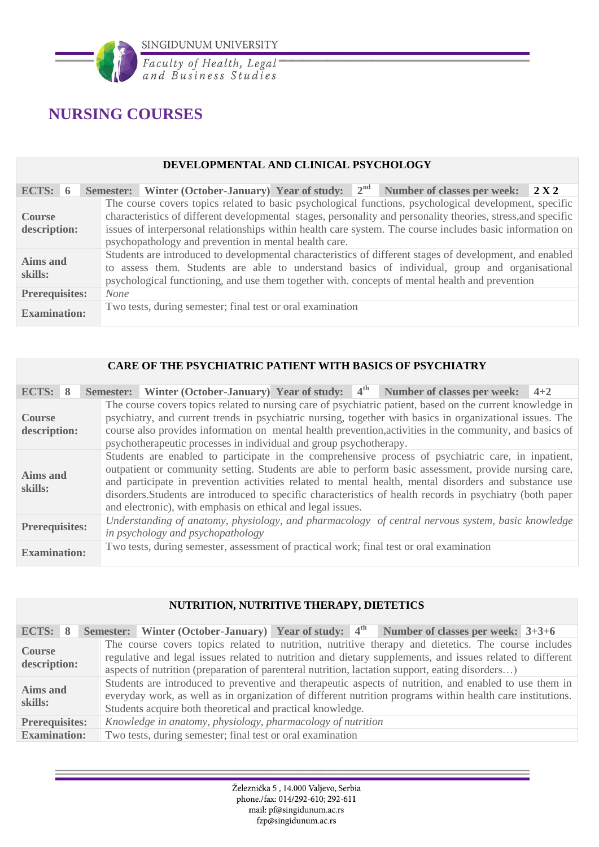

# **NURSING COURSES**

#### **DEVELOPMENTAL AND CLINICAL PSYCHOLOGY**

| ECTS: $6$             |  |                                                                                                                                                                                                                                                                                                               |  |  |  |  |                                                            |  | Semester: Winter (October-January) Year of study: $2^{nd}$ Number of classes per week: $2 X 2$                                                                                                                          |  |
|-----------------------|--|---------------------------------------------------------------------------------------------------------------------------------------------------------------------------------------------------------------------------------------------------------------------------------------------------------------|--|--|--|--|------------------------------------------------------------|--|-------------------------------------------------------------------------------------------------------------------------------------------------------------------------------------------------------------------------|--|
| <b>Course</b>         |  |                                                                                                                                                                                                                                                                                                               |  |  |  |  |                                                            |  | The course covers topics related to basic psychological functions, psychological development, specific<br>characteristics of different developmental stages, personality and personality theories, stress, and specific |  |
| description:          |  | issues of interpersonal relationships within health care system. The course includes basic information on<br>psychopathology and prevention in mental health care.                                                                                                                                            |  |  |  |  |                                                            |  |                                                                                                                                                                                                                         |  |
| Aims and<br>skills:   |  | Students are introduced to developmental characteristics of different stages of development, and enabled<br>to assess them. Students are able to understand basics of individual, group and organisational<br>psychological functioning, and use them together with. concepts of mental health and prevention |  |  |  |  |                                                            |  |                                                                                                                                                                                                                         |  |
| <b>Prerequisites:</b> |  | <b>None</b>                                                                                                                                                                                                                                                                                                   |  |  |  |  |                                                            |  |                                                                                                                                                                                                                         |  |
| <b>Examination:</b>   |  |                                                                                                                                                                                                                                                                                                               |  |  |  |  | Two tests, during semester; final test or oral examination |  |                                                                                                                                                                                                                         |  |

#### **CARE OF THE PSYCHIATRIC PATIENT WITH BASICS OF PSYCHIATRY**

| ECTS: 8                       | Semester: Winter (October-January) Year of study: $4th$ Number of classes per week: 4+2                                                                                                                                                                                                                                                                                                                                                                                                            |  |  |  |  |  |  |  |
|-------------------------------|----------------------------------------------------------------------------------------------------------------------------------------------------------------------------------------------------------------------------------------------------------------------------------------------------------------------------------------------------------------------------------------------------------------------------------------------------------------------------------------------------|--|--|--|--|--|--|--|
| <b>Course</b><br>description: | The course covers topics related to nursing care of psychiatric patient, based on the current knowledge in<br>psychiatry, and current trends in psychiatric nursing, together with basics in organizational issues. The<br>course also provides information on mental health prevention, activities in the community, and basics of                                                                                                                                                                |  |  |  |  |  |  |  |
|                               | psychotherapeutic processes in individual and group psychotherapy.                                                                                                                                                                                                                                                                                                                                                                                                                                 |  |  |  |  |  |  |  |
| <b>Aims and</b><br>skills:    | Students are enabled to participate in the comprehensive process of psychiatric care, in inpatient,<br>outpatient or community setting. Students are able to perform basic assessment, provide nursing care,<br>and participate in prevention activities related to mental health, mental disorders and substance use<br>disorders. Students are introduced to specific characteristics of health records in psychiatry (both paper<br>and electronic), with emphasis on ethical and legal issues. |  |  |  |  |  |  |  |
| <b>Prerequisites:</b>         | Understanding of anatomy, physiology, and pharmacology of central nervous system, basic knowledge<br>in psychology and psychopathology                                                                                                                                                                                                                                                                                                                                                             |  |  |  |  |  |  |  |
| <b>Examination:</b>           | Two tests, during semester, assessment of practical work; final test or oral examination                                                                                                                                                                                                                                                                                                                                                                                                           |  |  |  |  |  |  |  |

|                               |                                                                                      | <b>NUTRITION, NUTRITIVE THERAPY, DIETETICS</b>                                                                                                                                                                                                                                     |  |  |                                                                                                                                                                                                                                                                                                                     |  |  |  |  |  |
|-------------------------------|--------------------------------------------------------------------------------------|------------------------------------------------------------------------------------------------------------------------------------------------------------------------------------------------------------------------------------------------------------------------------------|--|--|---------------------------------------------------------------------------------------------------------------------------------------------------------------------------------------------------------------------------------------------------------------------------------------------------------------------|--|--|--|--|--|
| ECTS: 8                       |                                                                                      | Semester: Winter (October-January) Year of study: 4 <sup>th</sup>                                                                                                                                                                                                                  |  |  | Number of classes per week: $3+3+6$                                                                                                                                                                                                                                                                                 |  |  |  |  |  |
| <b>Course</b><br>description: |                                                                                      |                                                                                                                                                                                                                                                                                    |  |  | The course covers topics related to nutrition, nutritive therapy and dietetics. The course includes<br>regulative and legal issues related to nutrition and dietary supplements, and issues related to different<br>aspects of nutrition (preparation of parenteral nutrition, lactation support, eating disorders) |  |  |  |  |  |
| <b>Aims and</b><br>skills:    |                                                                                      | Students are introduced to preventive and therapeutic aspects of nutrition, and enabled to use them in<br>everyday work, as well as in organization of different nutrition programs within health care institutions.<br>Students acquire both theoretical and practical knowledge. |  |  |                                                                                                                                                                                                                                                                                                                     |  |  |  |  |  |
|                               | Knowledge in anatomy, physiology, pharmacology of nutrition<br><b>Prerequisites:</b> |                                                                                                                                                                                                                                                                                    |  |  |                                                                                                                                                                                                                                                                                                                     |  |  |  |  |  |
| <b>Examination:</b>           |                                                                                      | Two tests, during semester; final test or oral examination                                                                                                                                                                                                                         |  |  |                                                                                                                                                                                                                                                                                                                     |  |  |  |  |  |

#### Železnička 5, 14.000 Valjevo, Serbia phone./fax: 014/292-610; 292-611 mail: pf@singidunum.ac.rs fzp@singidunum.ac.rs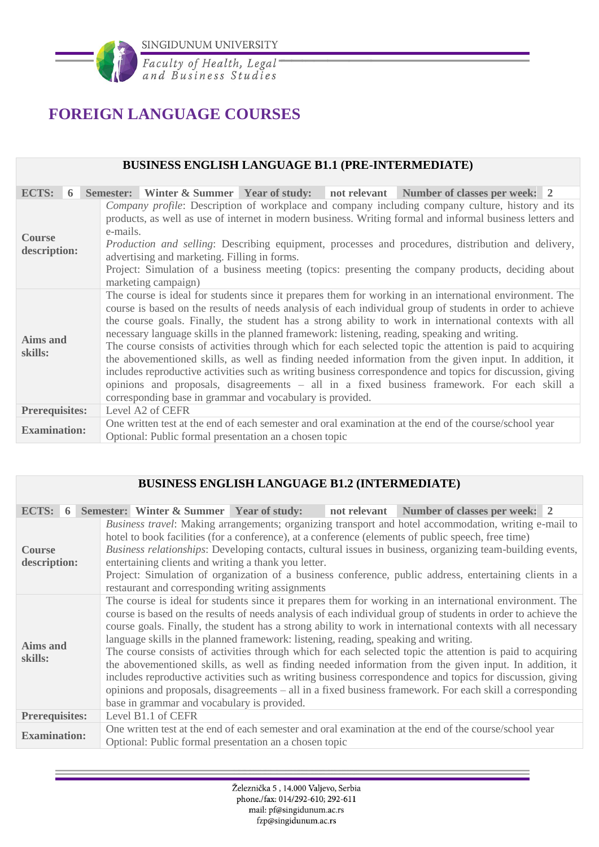

# **FOREIGN LANGUAGE COURSES**

#### **BUSINESS ENGLISH LANGUAGE B1.1 (PRE-INTERMEDIATE)**

| ECTS:                         | 6 |                                                           |                                                                                                                                                                                                                                                                                                                                                                                                                                                                                                                                                                                                                                                                                                                                                                                                                                                                       |  |  | Semester: Winter & Summer Year of study: not relevant Number of classes per week: 2 |  |  |  |  |  |
|-------------------------------|---|-----------------------------------------------------------|-----------------------------------------------------------------------------------------------------------------------------------------------------------------------------------------------------------------------------------------------------------------------------------------------------------------------------------------------------------------------------------------------------------------------------------------------------------------------------------------------------------------------------------------------------------------------------------------------------------------------------------------------------------------------------------------------------------------------------------------------------------------------------------------------------------------------------------------------------------------------|--|--|-------------------------------------------------------------------------------------|--|--|--|--|--|
| <b>Course</b><br>description: |   |                                                           | Company profile: Description of workplace and company including company culture, history and its<br>products, as well as use of internet in modern business. Writing formal and informal business letters and<br>e-mails.<br><i>Production and selling:</i> Describing equipment, processes and procedures, distribution and delivery,<br>advertising and marketing. Filling in forms.<br>Project: Simulation of a business meeting (topics: presenting the company products, deciding about<br>marketing campaign)                                                                                                                                                                                                                                                                                                                                                   |  |  |                                                                                     |  |  |  |  |  |
| <b>Aims and</b><br>skills:    |   | corresponding base in grammar and vocabulary is provided. | The course is ideal for students since it prepares them for working in an international environment. The<br>course is based on the results of needs analysis of each individual group of students in order to achieve<br>the course goals. Finally, the student has a strong ability to work in international contexts with all<br>necessary language skills in the planned framework: listening, reading, speaking and writing.<br>The course consists of activities through which for each selected topic the attention is paid to acquiring<br>the abovementioned skills, as well as finding needed information from the given input. In addition, it<br>includes reproductive activities such as writing business correspondence and topics for discussion, giving<br>opinions and proposals, disagreements – all in a fixed business framework. For each skill a |  |  |                                                                                     |  |  |  |  |  |
| <b>Prerequisites:</b>         |   |                                                           | Level A2 of CEFR                                                                                                                                                                                                                                                                                                                                                                                                                                                                                                                                                                                                                                                                                                                                                                                                                                                      |  |  |                                                                                     |  |  |  |  |  |
| <b>Examination:</b>           |   |                                                           | One written test at the end of each semester and oral examination at the end of the course/school year<br>Optional: Public formal presentation an a chosen topic                                                                                                                                                                                                                                                                                                                                                                                                                                                                                                                                                                                                                                                                                                      |  |  |                                                                                     |  |  |  |  |  |

#### **BUSINESS ENGLISH LANGUAGE B1.2 (INTERMEDIATE)**

| ECTS: $6$                     |                       |  |  |                                                                                                                                    |  | Semester: Winter & Summer Year of study: not relevant Number of classes per week: 2                                                                                                                                                                                                                                                                                                                                                                                                                                                                                                                                                                                                                                                                                                          |
|-------------------------------|-----------------------|--|--|------------------------------------------------------------------------------------------------------------------------------------|--|----------------------------------------------------------------------------------------------------------------------------------------------------------------------------------------------------------------------------------------------------------------------------------------------------------------------------------------------------------------------------------------------------------------------------------------------------------------------------------------------------------------------------------------------------------------------------------------------------------------------------------------------------------------------------------------------------------------------------------------------------------------------------------------------|
| <b>Course</b><br>description: |                       |  |  | entertaining clients and writing a thank you letter.<br>restaurant and corresponding writing assignments                           |  | Business travel: Making arrangements; organizing transport and hotel accommodation, writing e-mail to<br>hotel to book facilities (for a conference), at a conference (elements of public speech, free time)<br>Business relationships: Developing contacts, cultural issues in business, organizing team-building events,<br>Project: Simulation of organization of a business conference, public address, entertaining clients in a                                                                                                                                                                                                                                                                                                                                                        |
| <b>Aims and</b><br>skills:    |                       |  |  | language skills in the planned framework: listening, reading, speaking and writing.<br>base in grammar and vocabulary is provided. |  | The course is ideal for students since it prepares them for working in an international environment. The<br>course is based on the results of needs analysis of each individual group of students in order to achieve the<br>course goals. Finally, the student has a strong ability to work in international contexts with all necessary<br>The course consists of activities through which for each selected topic the attention is paid to acquiring<br>the abovementioned skills, as well as finding needed information from the given input. In addition, it<br>includes reproductive activities such as writing business correspondence and topics for discussion, giving<br>opinions and proposals, disagreements – all in a fixed business framework. For each skill a corresponding |
|                               | <b>Prerequisites:</b> |  |  | Level B1.1 of CEFR                                                                                                                 |  |                                                                                                                                                                                                                                                                                                                                                                                                                                                                                                                                                                                                                                                                                                                                                                                              |
| <b>Examination:</b>           |                       |  |  | Optional: Public formal presentation an a chosen topic                                                                             |  | One written test at the end of each semester and oral examination at the end of the course/school year                                                                                                                                                                                                                                                                                                                                                                                                                                                                                                                                                                                                                                                                                       |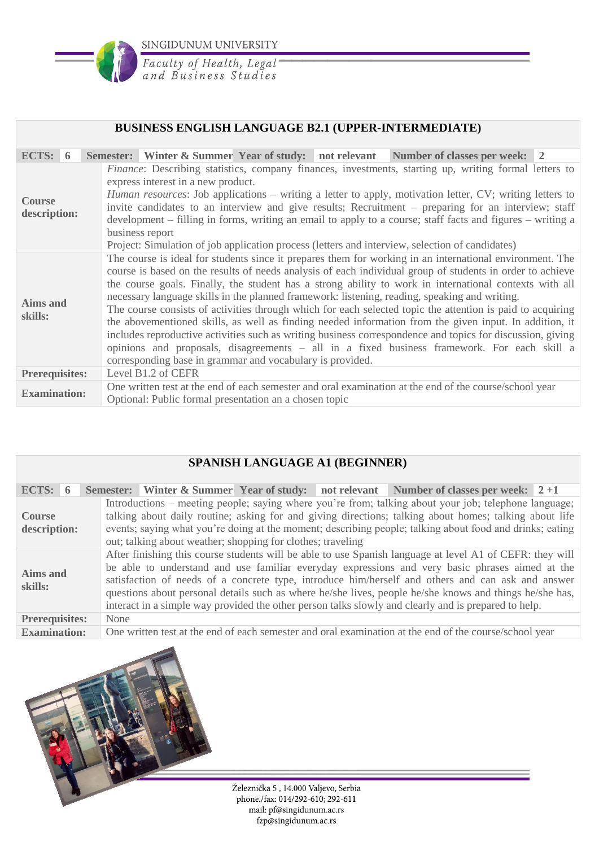

Faculty of Health, Legal<br>and Business Studies

#### **BUSINESS ENGLISH LANGUAGE B2.1 (UPPER-INTERMEDIATE)**

| ECTS: $6$                                                                                                                                                                                                                                                                                                                                                                                                                                                                                                                                                                                                                                          |  |                                                                                                                                                                                                                                                                                                                                                                                                                                                                                                                                                                                                                                                                                                                                                                                                                                                                                                                                    |                                                        |  |  | Semester: Winter & Summer Year of study: not relevant Number of classes per week: 2                    |  |
|----------------------------------------------------------------------------------------------------------------------------------------------------------------------------------------------------------------------------------------------------------------------------------------------------------------------------------------------------------------------------------------------------------------------------------------------------------------------------------------------------------------------------------------------------------------------------------------------------------------------------------------------------|--|------------------------------------------------------------------------------------------------------------------------------------------------------------------------------------------------------------------------------------------------------------------------------------------------------------------------------------------------------------------------------------------------------------------------------------------------------------------------------------------------------------------------------------------------------------------------------------------------------------------------------------------------------------------------------------------------------------------------------------------------------------------------------------------------------------------------------------------------------------------------------------------------------------------------------------|--------------------------------------------------------|--|--|--------------------------------------------------------------------------------------------------------|--|
| <i>Finance</i> : Describing statistics, company finances, investments, starting up, writing formal letters to<br>express interest in a new product.<br><i>Human resources:</i> Job applications – writing a letter to apply, motivation letter, CV; writing letters to<br><b>Course</b><br>invite candidates to an interview and give results; Recruitment – preparing for an interview; staff<br>description:<br>development – filling in forms, writing an email to apply to a course; staff facts and figures – writing a<br>business report<br>Project: Simulation of job application process (letters and interview, selection of candidates) |  |                                                                                                                                                                                                                                                                                                                                                                                                                                                                                                                                                                                                                                                                                                                                                                                                                                                                                                                                    |                                                        |  |  |                                                                                                        |  |
| <b>Aims and</b><br>skills:                                                                                                                                                                                                                                                                                                                                                                                                                                                                                                                                                                                                                         |  | The course is ideal for students since it prepares them for working in an international environment. The<br>course is based on the results of needs analysis of each individual group of students in order to achieve<br>the course goals. Finally, the student has a strong ability to work in international contexts with all<br>necessary language skills in the planned framework: listening, reading, speaking and writing.<br>The course consists of activities through which for each selected topic the attention is paid to acquiring<br>the abovementioned skills, as well as finding needed information from the given input. In addition, it<br>includes reproductive activities such as writing business correspondence and topics for discussion, giving<br>opinions and proposals, disagreements - all in a fixed business framework. For each skill a<br>corresponding base in grammar and vocabulary is provided. |                                                        |  |  |                                                                                                        |  |
| <b>Prerequisites:</b>                                                                                                                                                                                                                                                                                                                                                                                                                                                                                                                                                                                                                              |  |                                                                                                                                                                                                                                                                                                                                                                                                                                                                                                                                                                                                                                                                                                                                                                                                                                                                                                                                    | Level B1.2 of CEFR                                     |  |  |                                                                                                        |  |
| <b>Examination:</b>                                                                                                                                                                                                                                                                                                                                                                                                                                                                                                                                                                                                                                |  |                                                                                                                                                                                                                                                                                                                                                                                                                                                                                                                                                                                                                                                                                                                                                                                                                                                                                                                                    | Optional: Public formal presentation an a chosen topic |  |  | One written test at the end of each semester and oral examination at the end of the course/school year |  |

## **SPANISH LANGUAGE A1 (BEGINNER)**

| ECTS: $6$                                                                                                                     | Semester: Winter & Summer Year of study: not relevant Number of classes per week: $2+1$                                                                                                                                                                                                                                                                                                                                                                                                                                             |  |  |  |  |  |  |
|-------------------------------------------------------------------------------------------------------------------------------|-------------------------------------------------------------------------------------------------------------------------------------------------------------------------------------------------------------------------------------------------------------------------------------------------------------------------------------------------------------------------------------------------------------------------------------------------------------------------------------------------------------------------------------|--|--|--|--|--|--|
| <b>Course</b><br>description:                                                                                                 | Introductions – meeting people; saying where you're from; talking about your job; telephone language;<br>talking about daily routine; asking for and giving directions; talking about homes; talking about life<br>events; saying what you're doing at the moment; describing people; talking about food and drinks; eating<br>out; talking about weather; shopping for clothes; traveling                                                                                                                                          |  |  |  |  |  |  |
| <b>Aims and</b><br>skills:                                                                                                    | After finishing this course students will be able to use Spanish language at level A1 of CEFR: they will<br>be able to understand and use familiar everyday expressions and very basic phrases aimed at the<br>satisfaction of needs of a concrete type, introduce him/herself and others and can ask and answer<br>questions about personal details such as where he/she lives, people he/she knows and things he/she has,<br>interact in a simple way provided the other person talks slowly and clearly and is prepared to help. |  |  |  |  |  |  |
| <b>Prerequisites:</b>                                                                                                         | None                                                                                                                                                                                                                                                                                                                                                                                                                                                                                                                                |  |  |  |  |  |  |
| One written test at the end of each semester and oral examination at the end of the course/school year<br><b>Examination:</b> |                                                                                                                                                                                                                                                                                                                                                                                                                                                                                                                                     |  |  |  |  |  |  |

Železnička 5, 14.000 Valjevo, Serbia phone./fax: 014/292-610; 292-611 mail: pf@singidunum.ac.rs fzp@singidunum.ac.rs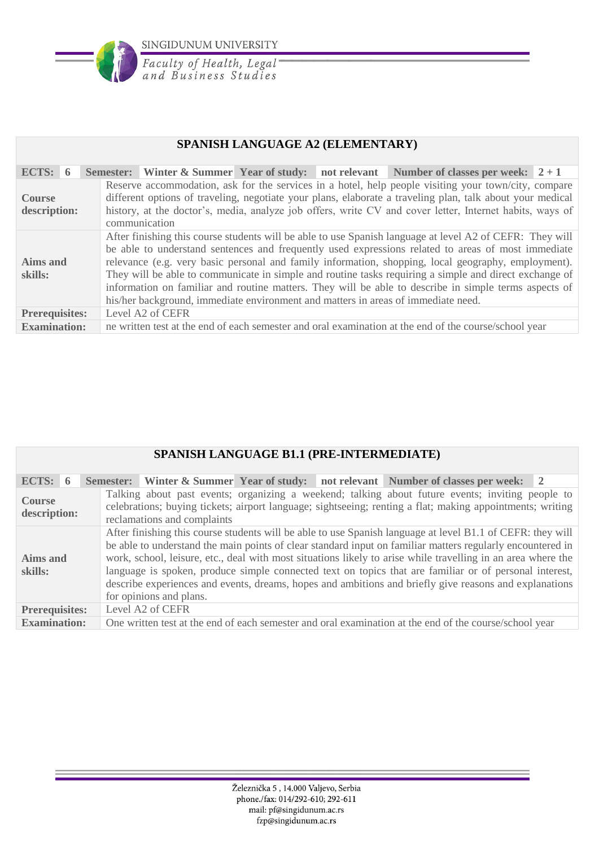

Faculty of Health, Legal<br>and Business Studies

### **SPANISH LANGUAGE A2 (ELEMENTARY)**

| ECTS: $6$                     |  |                                                                                                                                                                                                                                                                                                                                                                                                                                                                                                                                                                                                                               |                  |  |  | Semester: Winter & Summer Year of study: not relevant Number of classes per week: $2+1$               |  |  |
|-------------------------------|--|-------------------------------------------------------------------------------------------------------------------------------------------------------------------------------------------------------------------------------------------------------------------------------------------------------------------------------------------------------------------------------------------------------------------------------------------------------------------------------------------------------------------------------------------------------------------------------------------------------------------------------|------------------|--|--|-------------------------------------------------------------------------------------------------------|--|--|
| <b>Course</b><br>description: |  | Reserve accommodation, ask for the services in a hotel, help people visiting your town/city, compare<br>different options of traveling, negotiate your plans, elaborate a traveling plan, talk about your medical<br>history, at the doctor's, media, analyze job offers, write CV and cover letter, Internet habits, ways of<br>communication                                                                                                                                                                                                                                                                                |                  |  |  |                                                                                                       |  |  |
| Aims and<br>skills:           |  | After finishing this course students will be able to use Spanish language at level A2 of CEFR: They will<br>be able to understand sentences and frequently used expressions related to areas of most immediate<br>relevance (e.g. very basic personal and family information, shopping, local geography, employment).<br>They will be able to communicate in simple and routine tasks requiring a simple and direct exchange of<br>information on familiar and routine matters. They will be able to describe in simple terms aspects of<br>his/her background, immediate environment and matters in areas of immediate need. |                  |  |  |                                                                                                       |  |  |
| <b>Prerequisites:</b>         |  |                                                                                                                                                                                                                                                                                                                                                                                                                                                                                                                                                                                                                               | Level A2 of CEFR |  |  |                                                                                                       |  |  |
| <b>Examination:</b>           |  |                                                                                                                                                                                                                                                                                                                                                                                                                                                                                                                                                                                                                               |                  |  |  | ne written test at the end of each semester and oral examination at the end of the course/school year |  |  |

|                               | SPANISH LANGUAGE B1.1 (PRE-INTERMEDIATE) |  |                                                                                                                                                                                                                                                                                                                                                                                                                                                                                                                                                                                         |  |  |                                                                                                                                                                                                               |                |  |  |
|-------------------------------|------------------------------------------|--|-----------------------------------------------------------------------------------------------------------------------------------------------------------------------------------------------------------------------------------------------------------------------------------------------------------------------------------------------------------------------------------------------------------------------------------------------------------------------------------------------------------------------------------------------------------------------------------------|--|--|---------------------------------------------------------------------------------------------------------------------------------------------------------------------------------------------------------------|----------------|--|--|
|                               |                                          |  |                                                                                                                                                                                                                                                                                                                                                                                                                                                                                                                                                                                         |  |  |                                                                                                                                                                                                               |                |  |  |
| ECTS: $6$                     |                                          |  |                                                                                                                                                                                                                                                                                                                                                                                                                                                                                                                                                                                         |  |  | Semester: Winter & Summer Year of study: not relevant Number of classes per week:                                                                                                                             | $\overline{2}$ |  |  |
| <b>Course</b><br>description: |                                          |  | reclamations and complaints                                                                                                                                                                                                                                                                                                                                                                                                                                                                                                                                                             |  |  | Talking about past events; organizing a weekend; talking about future events; inviting people to<br>celebrations; buying tickets; airport language; sightseeing; renting a flat; making appointments; writing |                |  |  |
| Aims and<br>skills:           |                                          |  | After finishing this course students will be able to use Spanish language at level B1.1 of CEFR: they will<br>be able to understand the main points of clear standard input on familiar matters regularly encountered in<br>work, school, leisure, etc., deal with most situations likely to arise while travelling in an area where the<br>language is spoken, produce simple connected text on topics that are familiar or of personal interest,<br>describe experiences and events, dreams, hopes and ambitions and briefly give reasons and explanations<br>for opinions and plans. |  |  |                                                                                                                                                                                                               |                |  |  |
| <b>Prerequisites:</b>         |                                          |  | Level A2 of CEFR                                                                                                                                                                                                                                                                                                                                                                                                                                                                                                                                                                        |  |  |                                                                                                                                                                                                               |                |  |  |
| <b>Examination:</b>           |                                          |  |                                                                                                                                                                                                                                                                                                                                                                                                                                                                                                                                                                                         |  |  | One written test at the end of each semester and oral examination at the end of the course/school year                                                                                                        |                |  |  |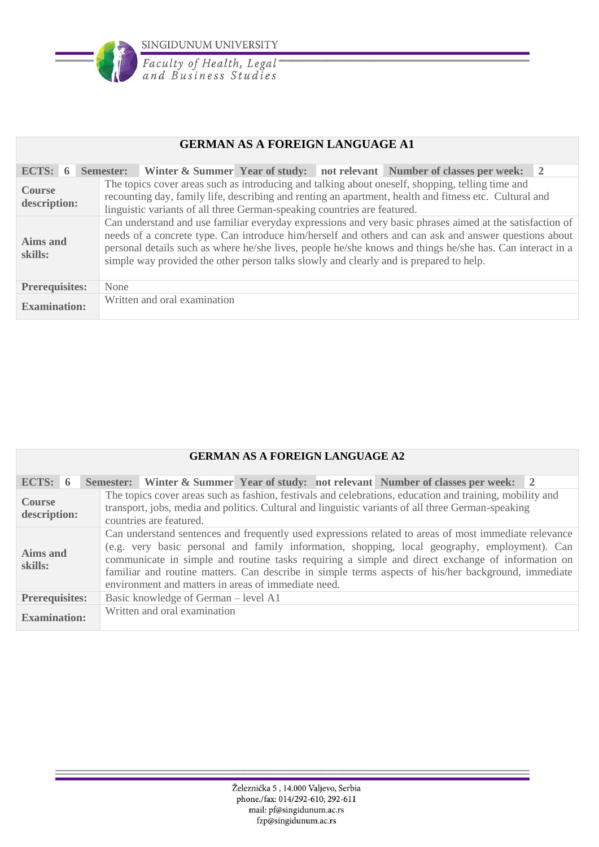

Faculty of Health, Legal<br>and Business Studies

## **GERMAN AS A FOREIGN LANGUAGE A1**

| ECTS: $6$                     | Winter & Summer Year of study: not relevant Number of classes per week: 2<br>Semester:                                                                                                                                                                                                                                                                                                                                   |  |  |  |
|-------------------------------|--------------------------------------------------------------------------------------------------------------------------------------------------------------------------------------------------------------------------------------------------------------------------------------------------------------------------------------------------------------------------------------------------------------------------|--|--|--|
| <b>Course</b><br>description: | The topics cover areas such as introducing and talking about oneself, shopping, telling time and<br>recounting day, family life, describing and renting an apartment, health and fitness etc. Cultural and<br>linguistic variants of all three German-speaking countries are featured.                                                                                                                                   |  |  |  |
| Aims and<br>skills:           | Can understand and use familiar everyday expressions and very basic phrases aimed at the satisfaction of<br>needs of a concrete type. Can introduce him/herself and others and can ask and answer questions about<br>personal details such as where he/she lives, people he/she knows and things he/she has. Can interact in a<br>simple way provided the other person talks slowly and clearly and is prepared to help. |  |  |  |
| <b>Prerequisites:</b>         | None                                                                                                                                                                                                                                                                                                                                                                                                                     |  |  |  |
| <b>Examination:</b>           | Written and oral examination                                                                                                                                                                                                                                                                                                                                                                                             |  |  |  |

#### **GERMAN AS A FOREIGN LANGUAGE A2**

| ECTS: $6$                                                     |  |                                                                                                                                                                                                                                                                                                                                                                                                                                                                          |                              |  |  | Semester: Winter & Summer Year of study: not relevant Number of classes per week: 2                                                                                                                            |  |
|---------------------------------------------------------------|--|--------------------------------------------------------------------------------------------------------------------------------------------------------------------------------------------------------------------------------------------------------------------------------------------------------------------------------------------------------------------------------------------------------------------------------------------------------------------------|------------------------------|--|--|----------------------------------------------------------------------------------------------------------------------------------------------------------------------------------------------------------------|--|
| <b>Course</b><br>description:                                 |  |                                                                                                                                                                                                                                                                                                                                                                                                                                                                          | countries are featured.      |  |  | The topics cover areas such as fashion, festivals and celebrations, education and training, mobility and<br>transport, jobs, media and politics. Cultural and linguistic variants of all three German-speaking |  |
| Aims and<br>skills:                                           |  | Can understand sentences and frequently used expressions related to areas of most immediate relevance<br>(e.g. very basic personal and family information, shopping, local geography, employment). Can<br>communicate in simple and routine tasks requiring a simple and direct exchange of information on<br>familiar and routine matters. Can describe in simple terms aspects of his/her background, immediate<br>environment and matters in areas of immediate need. |                              |  |  |                                                                                                                                                                                                                |  |
| Basic knowledge of German – level A1<br><b>Prerequisites:</b> |  |                                                                                                                                                                                                                                                                                                                                                                                                                                                                          |                              |  |  |                                                                                                                                                                                                                |  |
| <b>Examination:</b>                                           |  |                                                                                                                                                                                                                                                                                                                                                                                                                                                                          | Written and oral examination |  |  |                                                                                                                                                                                                                |  |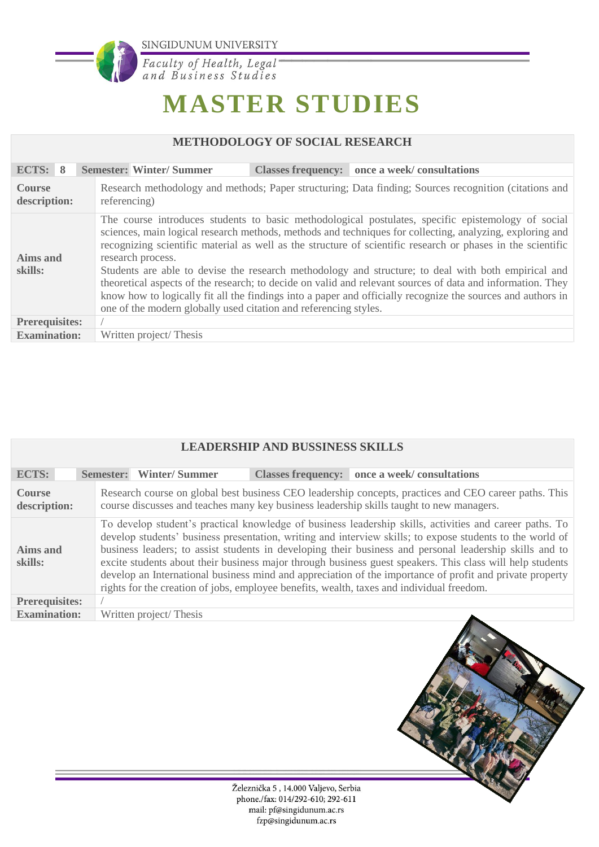

Faculty of Health, Legal<br>and Business Studies

# **MASTER STUDIES**

# **METHODOLOGY OF SOCIAL RESEARCH**

| ECTS: 8<br><b>Semester: Winter/Summer</b><br>Classes frequency: once a week/consultations                                                              |                                                                                                                                                                                                                                                                                                                                                                                                                                                                                                                                                                                                                                                                   |  |  |  |  |
|--------------------------------------------------------------------------------------------------------------------------------------------------------|-------------------------------------------------------------------------------------------------------------------------------------------------------------------------------------------------------------------------------------------------------------------------------------------------------------------------------------------------------------------------------------------------------------------------------------------------------------------------------------------------------------------------------------------------------------------------------------------------------------------------------------------------------------------|--|--|--|--|
|                                                                                                                                                        |                                                                                                                                                                                                                                                                                                                                                                                                                                                                                                                                                                                                                                                                   |  |  |  |  |
| Research methodology and methods; Paper structuring; Data finding; Sources recognition (citations and<br><b>Course</b><br>referencing)<br>description: |                                                                                                                                                                                                                                                                                                                                                                                                                                                                                                                                                                                                                                                                   |  |  |  |  |
| <b>Aims and</b><br>research process.<br>skills:<br>one of the modern globally used citation and referencing styles.                                    | The course introduces students to basic methodological postulates, specific epistemology of social<br>sciences, main logical research methods, methods and techniques for collecting, analyzing, exploring and<br>recognizing scientific material as well as the structure of scientific research or phases in the scientific<br>Students are able to devise the research methodology and structure; to deal with both empirical and<br>theoretical aspects of the research; to decide on valid and relevant sources of data and information. They<br>know how to logically fit all the findings into a paper and officially recognize the sources and authors in |  |  |  |  |
| <b>Prerequisites:</b>                                                                                                                                  |                                                                                                                                                                                                                                                                                                                                                                                                                                                                                                                                                                                                                                                                   |  |  |  |  |
| <b>Examination:</b><br>Written project/Thesis                                                                                                          |                                                                                                                                                                                                                                                                                                                                                                                                                                                                                                                                                                                                                                                                   |  |  |  |  |

| <b>LEADERSHIP AND BUSSINESS SKILLS</b> |                                                                                           |  |                                                                                                                                                                                                                                                                                                                                                                                                                                                                                                                                                          |  |  |
|----------------------------------------|-------------------------------------------------------------------------------------------|--|----------------------------------------------------------------------------------------------------------------------------------------------------------------------------------------------------------------------------------------------------------------------------------------------------------------------------------------------------------------------------------------------------------------------------------------------------------------------------------------------------------------------------------------------------------|--|--|
| <b>ECTS:</b>                           | <b>Winter/Summer</b><br><b>Semester:</b>                                                  |  | Classes frequency: once a week/consultations                                                                                                                                                                                                                                                                                                                                                                                                                                                                                                             |  |  |
| <b>Course</b><br>description:          |                                                                                           |  | Research course on global best business CEO leadership concepts, practices and CEO career paths. This<br>course discusses and teaches many key business leadership skills taught to new managers.                                                                                                                                                                                                                                                                                                                                                        |  |  |
| <b>Aims and</b><br>skills:             | rights for the creation of jobs, employee benefits, wealth, taxes and individual freedom. |  | To develop student's practical knowledge of business leadership skills, activities and career paths. To<br>develop students' business presentation, writing and interview skills; to expose students to the world of<br>business leaders; to assist students in developing their business and personal leadership skills and to<br>excite students about their business major through business guest speakers. This class will help students<br>develop an International business mind and appreciation of the importance of profit and private property |  |  |
| <b>Prerequisites:</b>                  |                                                                                           |  |                                                                                                                                                                                                                                                                                                                                                                                                                                                                                                                                                          |  |  |
| <b>Examination:</b>                    | Written project/Thesis                                                                    |  |                                                                                                                                                                                                                                                                                                                                                                                                                                                                                                                                                          |  |  |

Železnička 5, 14.000 Valjevo, Serbia phone./fax: 014/292-610; 292-611 mail: pf@singidunum.ac.rs fzp@singidunum.ac.rs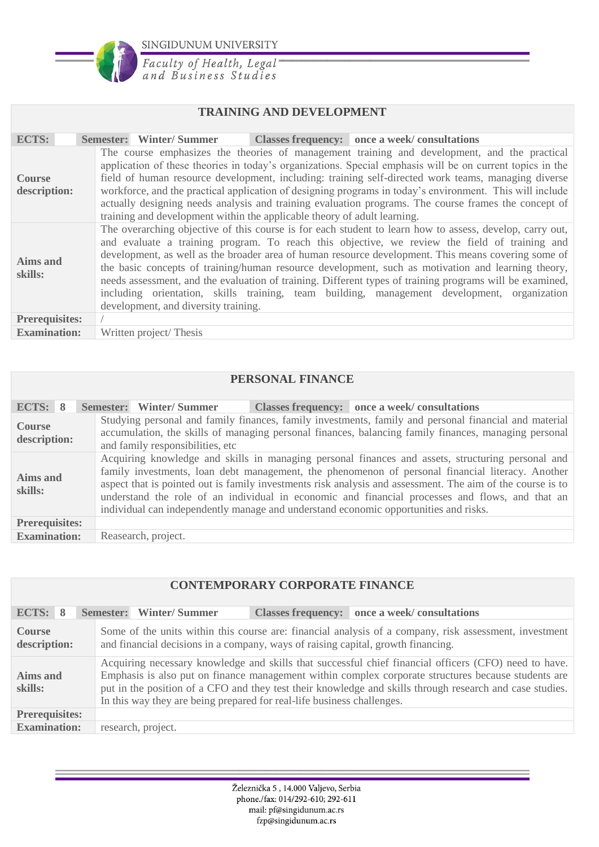

Faculty of Health, Legal<br>and Business Studies

#### **TRAINING AND DEVELOPMENT**

| <b>ECTS:</b>                  | Classes frequency: once a week/consultations<br>Semester: Winter/Summer                                                                                                                                                                                                                                                                                                                                                                                                                                                                                                                                                                                                   |  |  |  |  |  |  |
|-------------------------------|---------------------------------------------------------------------------------------------------------------------------------------------------------------------------------------------------------------------------------------------------------------------------------------------------------------------------------------------------------------------------------------------------------------------------------------------------------------------------------------------------------------------------------------------------------------------------------------------------------------------------------------------------------------------------|--|--|--|--|--|--|
| <b>Course</b><br>description: | The course emphasizes the theories of management training and development, and the practical<br>application of these theories in today's organizations. Special emphasis will be on current topics in the<br>field of human resource development, including: training self-directed work teams, managing diverse<br>workforce, and the practical application of designing programs in today's environment. This will include<br>actually designing needs analysis and training evaluation programs. The course frames the concept of<br>training and development within the applicable theory of adult learning.                                                          |  |  |  |  |  |  |
| Aims and<br>skills:           | The overarching objective of this course is for each student to learn how to assess, develop, carry out,<br>and evaluate a training program. To reach this objective, we review the field of training and<br>development, as well as the broader area of human resource development. This means covering some of<br>the basic concepts of training/human resource development, such as motivation and learning theory,<br>needs assessment, and the evaluation of training. Different types of training programs will be examined,<br>including orientation, skills training, team building, management development, organization<br>development, and diversity training. |  |  |  |  |  |  |
| <b>Prerequisites:</b>         |                                                                                                                                                                                                                                                                                                                                                                                                                                                                                                                                                                                                                                                                           |  |  |  |  |  |  |
| <b>Examination:</b>           | Written project/Thesis                                                                                                                                                                                                                                                                                                                                                                                                                                                                                                                                                                                                                                                    |  |  |  |  |  |  |

#### **PERSONAL FINANCE**

| ECTS: 8                                                                                                                                                                                                                                                                            |  |  |                                                                                                                                                                                                                                                                                                                                                                                                                                                                                                                | Semester: Winter/Summer |  | Classes frequency: once a week/consultations |  |
|------------------------------------------------------------------------------------------------------------------------------------------------------------------------------------------------------------------------------------------------------------------------------------|--|--|----------------------------------------------------------------------------------------------------------------------------------------------------------------------------------------------------------------------------------------------------------------------------------------------------------------------------------------------------------------------------------------------------------------------------------------------------------------------------------------------------------------|-------------------------|--|----------------------------------------------|--|
| Studying personal and family finances, family investments, family and personal financial and material<br><b>Course</b><br>accumulation, the skills of managing personal finances, balancing family finances, managing personal<br>description:<br>and family responsibilities, etc |  |  |                                                                                                                                                                                                                                                                                                                                                                                                                                                                                                                |                         |  |                                              |  |
| Aims and<br>skills:                                                                                                                                                                                                                                                                |  |  | Acquiring knowledge and skills in managing personal finances and assets, structuring personal and<br>family investments, loan debt management, the phenomenon of personal financial literacy. Another<br>aspect that is pointed out is family investments risk analysis and assessment. The aim of the course is to<br>understand the role of an individual in economic and financial processes and flows, and that an<br>individual can independently manage and understand economic opportunities and risks. |                         |  |                                              |  |
| <b>Prerequisites:</b>                                                                                                                                                                                                                                                              |  |  |                                                                                                                                                                                                                                                                                                                                                                                                                                                                                                                |                         |  |                                              |  |
| <b>Examination:</b>                                                                                                                                                                                                                                                                |  |  |                                                                                                                                                                                                                                                                                                                                                                                                                                                                                                                | Reasearch, project.     |  |                                              |  |

#### **CONTEMPORARY CORPORATE FINANCE**

| ECTS: 8                | Classes frequency: once a week/consultations<br>Semester: Winter/Summer                                                                                                                                                                                                                                                                                                                            |  |  |  |  |
|------------------------|----------------------------------------------------------------------------------------------------------------------------------------------------------------------------------------------------------------------------------------------------------------------------------------------------------------------------------------------------------------------------------------------------|--|--|--|--|
| Course<br>description: | Some of the units within this course are: financial analysis of a company, risk assessment, investment<br>and financial decisions in a company, ways of raising capital, growth financing.                                                                                                                                                                                                         |  |  |  |  |
| Aims and<br>skills:    | Acquiring necessary knowledge and skills that successful chief financial officers (CFO) need to have.<br>Emphasis is also put on finance management within complex corporate structures because students are<br>put in the position of a CFO and they test their knowledge and skills through research and case studies.<br>In this way they are being prepared for real-life business challenges. |  |  |  |  |
| <b>Prerequisites:</b>  |                                                                                                                                                                                                                                                                                                                                                                                                    |  |  |  |  |
| <b>Examination:</b>    | research, project.                                                                                                                                                                                                                                                                                                                                                                                 |  |  |  |  |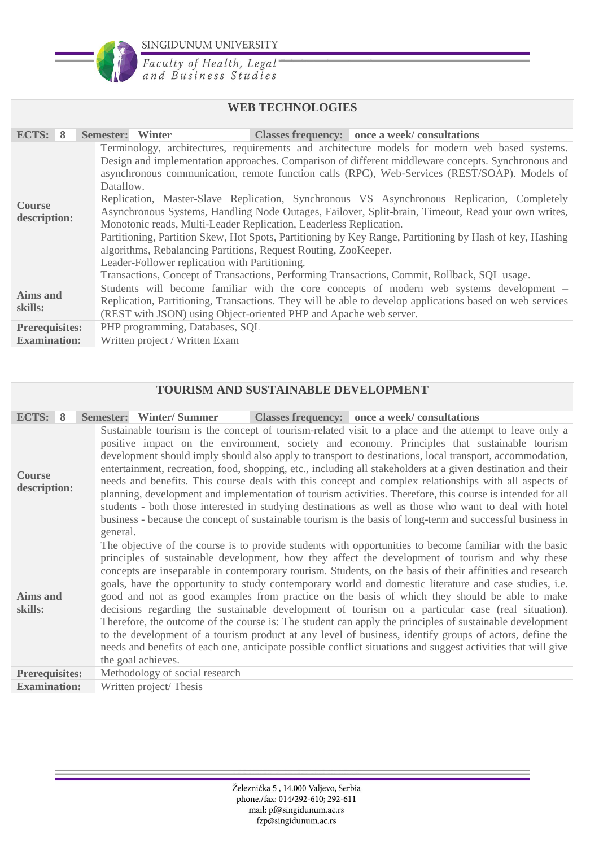

Faculty of Health, Legal<br>and Business Studies

### **WEB TECHNOLOGIES**

| ECTS: 8                       | <b>Semester:</b> Winter<br>Classes frequency: once a week/consultations                                                                                                                                                                                                                                                                                                                                                                                                                                                                                                                                                                                                                                                                                                                                                                                                                                                      |  |  |  |  |
|-------------------------------|------------------------------------------------------------------------------------------------------------------------------------------------------------------------------------------------------------------------------------------------------------------------------------------------------------------------------------------------------------------------------------------------------------------------------------------------------------------------------------------------------------------------------------------------------------------------------------------------------------------------------------------------------------------------------------------------------------------------------------------------------------------------------------------------------------------------------------------------------------------------------------------------------------------------------|--|--|--|--|
| <b>Course</b><br>description: | Terminology, architectures, requirements and architecture models for modern web based systems.<br>Design and implementation approaches. Comparison of different middleware concepts. Synchronous and<br>asynchronous communication, remote function calls (RPC), Web-Services (REST/SOAP). Models of<br>Dataflow.<br>Replication, Master-Slave Replication, Synchronous VS Asynchronous Replication, Completely<br>Asynchronous Systems, Handling Node Outages, Failover, Split-brain, Timeout, Read your own writes,<br>Monotonic reads, Multi-Leader Replication, Leaderless Replication.<br>Partitioning, Partition Skew, Hot Spots, Partitioning by Key Range, Partitioning by Hash of key, Hashing<br>algorithms, Rebalancing Partitions, Request Routing, ZooKeeper.<br>Leader-Follower replication with Partitioning.<br>Transactions, Concept of Transactions, Performing Transactions, Commit, Rollback, SQL usage. |  |  |  |  |
| Aims and<br>skills:           | Students will become familiar with the core concepts of modern web systems development -<br>Replication, Partitioning, Transactions. They will be able to develop applications based on web services<br>(REST with JSON) using Object-oriented PHP and Apache web server.                                                                                                                                                                                                                                                                                                                                                                                                                                                                                                                                                                                                                                                    |  |  |  |  |
| <b>Prerequisites:</b>         | PHP programming, Databases, SQL                                                                                                                                                                                                                                                                                                                                                                                                                                                                                                                                                                                                                                                                                                                                                                                                                                                                                              |  |  |  |  |
| <b>Examination:</b>           | Written project / Written Exam                                                                                                                                                                                                                                                                                                                                                                                                                                                                                                                                                                                                                                                                                                                                                                                                                                                                                               |  |  |  |  |

#### **TOURISM AND SUSTAINABLE DEVELOPMENT**

| ECTS: 8                       | Semester: Winter/Summer                                                                                                                                                                                                                                                                                                                                                                                                                                                                                                                                                                                                                                                                                                                                                                                                                                                                                                                                                                               |  | Classes frequency: once a week/consultations |  |  |  |
|-------------------------------|-------------------------------------------------------------------------------------------------------------------------------------------------------------------------------------------------------------------------------------------------------------------------------------------------------------------------------------------------------------------------------------------------------------------------------------------------------------------------------------------------------------------------------------------------------------------------------------------------------------------------------------------------------------------------------------------------------------------------------------------------------------------------------------------------------------------------------------------------------------------------------------------------------------------------------------------------------------------------------------------------------|--|----------------------------------------------|--|--|--|
| <b>Course</b><br>description: | Sustainable tourism is the concept of tourism-related visit to a place and the attempt to leave only a<br>positive impact on the environment, society and economy. Principles that sustainable tourism<br>development should imply should also apply to transport to destinations, local transport, accommodation,<br>entertainment, recreation, food, shopping, etc., including all stakeholders at a given destination and their<br>needs and benefits. This course deals with this concept and complex relationships with all aspects of<br>planning, development and implementation of tourism activities. Therefore, this course is intended for all<br>students - both those interested in studying destinations as well as those who want to deal with hotel<br>business - because the concept of sustainable tourism is the basis of long-term and successful business in<br>general.                                                                                                         |  |                                              |  |  |  |
| <b>Aims and</b><br>skills:    | The objective of the course is to provide students with opportunities to become familiar with the basic<br>principles of sustainable development, how they affect the development of tourism and why these<br>concepts are inseparable in contemporary tourism. Students, on the basis of their affinities and research<br>goals, have the opportunity to study contemporary world and domestic literature and case studies, i.e.<br>good and not as good examples from practice on the basis of which they should be able to make<br>decisions regarding the sustainable development of tourism on a particular case (real situation).<br>Therefore, the outcome of the course is: The student can apply the principles of sustainable development<br>to the development of a tourism product at any level of business, identify groups of actors, define the<br>needs and benefits of each one, anticipate possible conflict situations and suggest activities that will give<br>the goal achieves. |  |                                              |  |  |  |
| <b>Prerequisites:</b>         | Methodology of social research                                                                                                                                                                                                                                                                                                                                                                                                                                                                                                                                                                                                                                                                                                                                                                                                                                                                                                                                                                        |  |                                              |  |  |  |
| <b>Examination:</b>           | Written project/Thesis                                                                                                                                                                                                                                                                                                                                                                                                                                                                                                                                                                                                                                                                                                                                                                                                                                                                                                                                                                                |  |                                              |  |  |  |